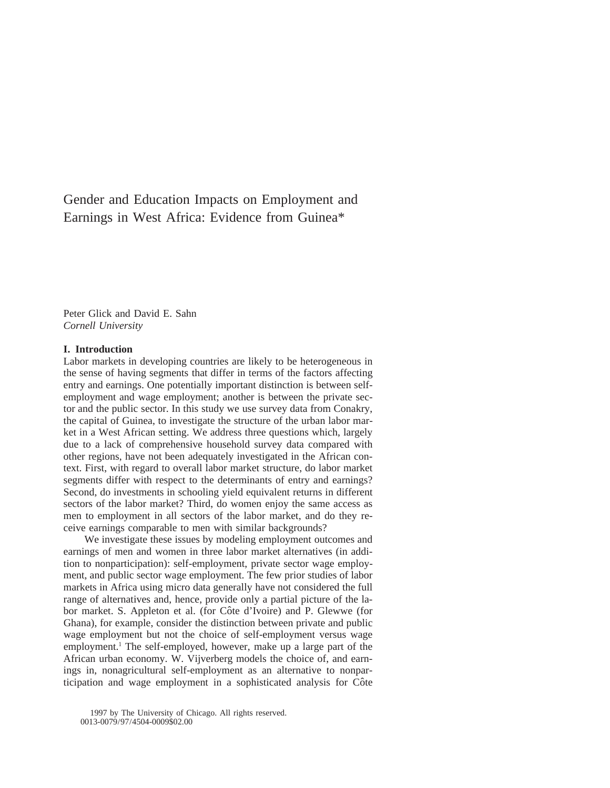# Gender and Education Impacts on Employment and Earnings in West Africa: Evidence from Guinea\*

Peter Glick and David E. Sahn *Cornell University*

#### **I. Introduction**

Labor markets in developing countries are likely to be heterogeneous in the sense of having segments that differ in terms of the factors affecting entry and earnings. One potentially important distinction is between selfemployment and wage employment; another is between the private sector and the public sector. In this study we use survey data from Conakry, the capital of Guinea, to investigate the structure of the urban labor market in a West African setting. We address three questions which, largely due to a lack of comprehensive household survey data compared with other regions, have not been adequately investigated in the African context. First, with regard to overall labor market structure, do labor market segments differ with respect to the determinants of entry and earnings? Second, do investments in schooling yield equivalent returns in different sectors of the labor market? Third, do women enjoy the same access as men to employment in all sectors of the labor market, and do they receive earnings comparable to men with similar backgrounds?

We investigate these issues by modeling employment outcomes and earnings of men and women in three labor market alternatives (in addition to nonparticipation): self-employment, private sector wage employment, and public sector wage employment. The few prior studies of labor markets in Africa using micro data generally have not considered the full range of alternatives and, hence, provide only a partial picture of the labor market. S. Appleton et al. (for Côte d'Ivoire) and P. Glewwe (for Ghana), for example, consider the distinction between private and public wage employment but not the choice of self-employment versus wage employment.<sup>1</sup> The self-employed, however, make up a large part of the African urban economy. W. Vijverberg models the choice of, and earnings in, nonagricultural self-employment as an alternative to nonparticipation and wage employment in a sophisticated analysis for Côte

1997 by The University of Chicago. All rights reserved.

<sup>0013-0079/97/4504-0009\$02.00</sup>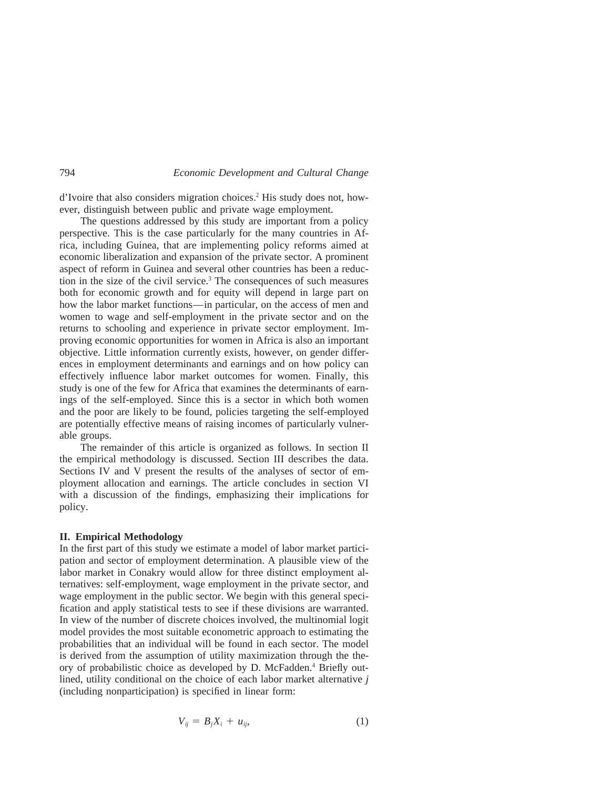d'Ivoire that also considers migration choices.2 His study does not, however, distinguish between public and private wage employment.

The questions addressed by this study are important from a policy perspective. This is the case particularly for the many countries in Africa, including Guinea, that are implementing policy reforms aimed at economic liberalization and expansion of the private sector. A prominent aspect of reform in Guinea and several other countries has been a reduction in the size of the civil service.3 The consequences of such measures both for economic growth and for equity will depend in large part on how the labor market functions—in particular, on the access of men and women to wage and self-employment in the private sector and on the returns to schooling and experience in private sector employment. Improving economic opportunities for women in Africa is also an important objective. Little information currently exists, however, on gender differences in employment determinants and earnings and on how policy can effectively influence labor market outcomes for women. Finally, this study is one of the few for Africa that examines the determinants of earnings of the self-employed. Since this is a sector in which both women and the poor are likely to be found, policies targeting the self-employed are potentially effective means of raising incomes of particularly vulnerable groups.

The remainder of this article is organized as follows. In section II the empirical methodology is discussed. Section III describes the data. Sections IV and V present the results of the analyses of sector of employment allocation and earnings. The article concludes in section VI with a discussion of the findings, emphasizing their implications for policy.

## **II. Empirical Methodology**

In the first part of this study we estimate a model of labor market participation and sector of employment determination. A plausible view of the labor market in Conakry would allow for three distinct employment alternatives: self-employment, wage employment in the private sector, and wage employment in the public sector. We begin with this general specification and apply statistical tests to see if these divisions are warranted. In view of the number of discrete choices involved, the multinomial logit model provides the most suitable econometric approach to estimating the probabilities that an individual will be found in each sector. The model is derived from the assumption of utility maximization through the theory of probabilistic choice as developed by D. McFadden.4 Briefly outlined, utility conditional on the choice of each labor market alternative *j* (including nonparticipation) is specified in linear form: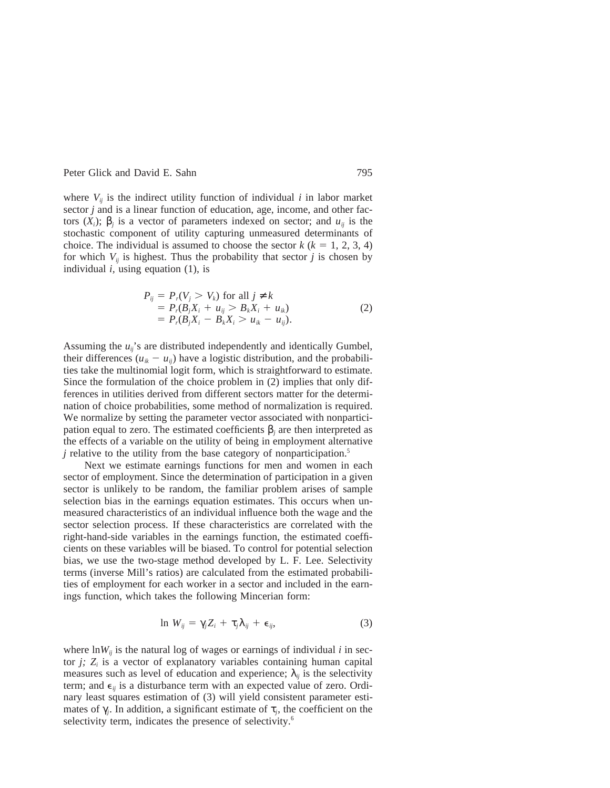where  $V_{ii}$  is the indirect utility function of individual *i* in labor market sector *j* and is a linear function of education, age, income, and other factors (*X<sub>i</sub>*); β<sub>*j*</sub> is a vector of parameters indexed on sector; and *u<sub>ij</sub>* is the stochastic component of utility capturing unmeasured determinants of choice. The individual is assumed to choose the sector  $k (k = 1, 2, 3, 4)$ for which  $V_{ii}$  is highest. Thus the probability that sector *j* is chosen by individual *i,* using equation (1), is

$$
P_{ij} = P_r(V_j > V_k) \text{ for all } j \neq k
$$
  
=  $P_r(B_jX_i + u_{ij} > B_kX_i + u_{ik})$   
=  $P_r(B_jX_i - B_kX_i > u_{ik} - u_{ij}).$  (2)

Assuming the *uij*'s are distributed independently and identically Gumbel, their differences  $(u_{ik} - u_{ij})$  have a logistic distribution, and the probabilities take the multinomial logit form, which is straightforward to estimate. Since the formulation of the choice problem in (2) implies that only differences in utilities derived from different sectors matter for the determination of choice probabilities, some method of normalization is required. We normalize by setting the parameter vector associated with nonparticipation equal to zero. The estimated coefficients β*<sup>j</sup>* are then interpreted as the effects of a variable on the utility of being in employment alternative *j* relative to the utility from the base category of nonparticipation.<sup>5</sup>

Next we estimate earnings functions for men and women in each sector of employment. Since the determination of participation in a given sector is unlikely to be random, the familiar problem arises of sample selection bias in the earnings equation estimates. This occurs when unmeasured characteristics of an individual influence both the wage and the sector selection process. If these characteristics are correlated with the right-hand-side variables in the earnings function, the estimated coefficients on these variables will be biased. To control for potential selection bias, we use the two-stage method developed by L. F. Lee. Selectivity terms (inverse Mill's ratios) are calculated from the estimated probabilities of employment for each worker in a sector and included in the earnings function, which takes the following Mincerian form:

$$
\ln W_{ij} = \gamma_j Z_i + \tau_j \lambda_{ij} + \epsilon_{ij}, \qquad (3)
$$

where  $\ln W_{ii}$  is the natural log of wages or earnings of individual *i* in sector  $j$ ;  $Z_i$  is a vector of explanatory variables containing human capital measures such as level of education and experience;  $\lambda_{ij}$  is the selectivity term; and  $\epsilon_{ij}$  is a disturbance term with an expected value of zero. Ordinary least squares estimation of (3) will yield consistent parameter estimates of  $\gamma_i$ . In addition, a significant estimate of  $\tau_i$ , the coefficient on the selectivity term, indicates the presence of selectivity.<sup>6</sup>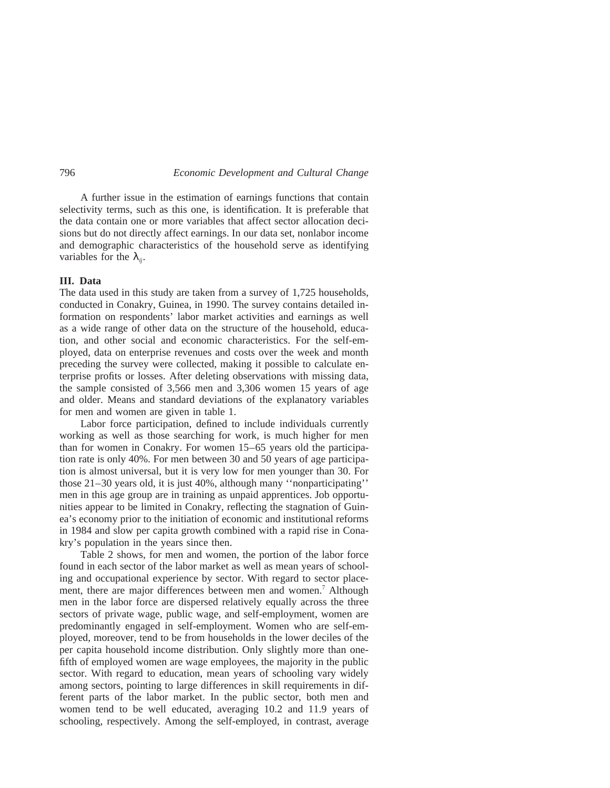A further issue in the estimation of earnings functions that contain selectivity terms, such as this one, is identification. It is preferable that the data contain one or more variables that affect sector allocation decisions but do not directly affect earnings. In our data set, nonlabor income and demographic characteristics of the household serve as identifying variables for the  $\lambda_{ii}$ .

## **III. Data**

The data used in this study are taken from a survey of 1,725 households, conducted in Conakry, Guinea, in 1990. The survey contains detailed information on respondents' labor market activities and earnings as well as a wide range of other data on the structure of the household, education, and other social and economic characteristics. For the self-employed, data on enterprise revenues and costs over the week and month preceding the survey were collected, making it possible to calculate enterprise profits or losses. After deleting observations with missing data, the sample consisted of 3,566 men and 3,306 women 15 years of age and older. Means and standard deviations of the explanatory variables for men and women are given in table 1.

Labor force participation, defined to include individuals currently working as well as those searching for work, is much higher for men than for women in Conakry. For women 15–65 years old the participation rate is only 40%. For men between 30 and 50 years of age participation is almost universal, but it is very low for men younger than 30. For those 21–30 years old, it is just 40%, although many ''nonparticipating'' men in this age group are in training as unpaid apprentices. Job opportunities appear to be limited in Conakry, reflecting the stagnation of Guinea's economy prior to the initiation of economic and institutional reforms in 1984 and slow per capita growth combined with a rapid rise in Conakry's population in the years since then.

Table 2 shows, for men and women, the portion of the labor force found in each sector of the labor market as well as mean years of schooling and occupational experience by sector. With regard to sector placement, there are major differences between men and women.<sup>7</sup> Although men in the labor force are dispersed relatively equally across the three sectors of private wage, public wage, and self-employment, women are predominantly engaged in self-employment. Women who are self-employed, moreover, tend to be from households in the lower deciles of the per capita household income distribution. Only slightly more than onefifth of employed women are wage employees, the majority in the public sector. With regard to education, mean years of schooling vary widely among sectors, pointing to large differences in skill requirements in different parts of the labor market. In the public sector, both men and women tend to be well educated, averaging 10.2 and 11.9 years of schooling, respectively. Among the self-employed, in contrast, average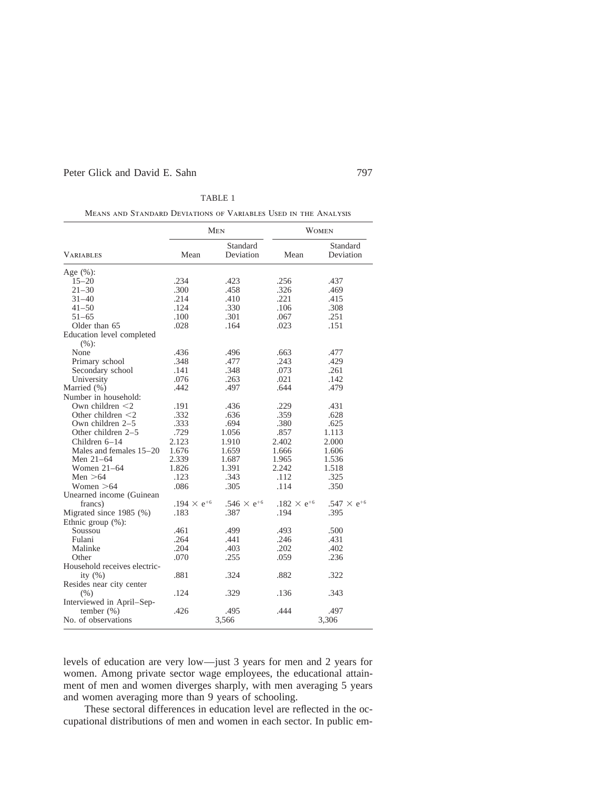|                                   |                      | <b>MEN</b>                    |                               | <b>WOMEN</b>                  |
|-----------------------------------|----------------------|-------------------------------|-------------------------------|-------------------------------|
| VARIABLES                         | Mean                 | Standard<br>Deviation         | Mean                          | Standard<br>Deviation         |
| Age (%):                          |                      |                               |                               |                               |
| $15 - 20$                         | .234                 | .423                          | .256                          | .437                          |
| $21 - 30$                         | .300                 | .458                          | .326                          | .469                          |
| $31 - 40$                         | .214                 | .410                          | .221                          | .415                          |
| $41 - 50$                         | .124                 | .330                          | .106                          | .308                          |
| $51 - 65$                         | .100                 | .301                          | .067                          | .251                          |
| Older than 65                     | .028                 | .164                          | .023                          | .151                          |
| Education level completed<br>(%): |                      |                               |                               |                               |
| None                              | .436                 | .496                          | .663                          | .477                          |
| Primary school                    | .348                 | .477                          | .243                          | .429                          |
| Secondary school                  | .141                 | .348                          | .073                          | .261                          |
| University                        | .076                 | .263                          | .021                          | .142                          |
| Married (%)                       | .442                 | .497                          | .644                          | .479                          |
| Number in household:              |                      |                               |                               |                               |
| Own children $\leq$ 2             | .191                 | .436                          | .229                          | .431                          |
| Other children $\leq 2$           | .332                 | .636                          | .359                          | .628                          |
| Own children $2-5$                | .333                 | .694                          | .380                          | .625                          |
| Other children $2-5$              | .729                 | 1.056                         | .857                          | 1.113                         |
| Children $6-14$                   | 2.123                | 1.910                         | 2.402                         | 2.000                         |
| Males and females 15–20           | 1.676                | 1.659                         | 1.666                         | 1.606                         |
| Men 21-64                         | 2.339                | 1.687                         | 1.965                         | 1.536                         |
| Women $21-64$                     | 1.826                | 1.391                         | 2.242                         | 1.518                         |
| Men $>64$                         | .123                 | .343                          | .112                          | .325                          |
| Women $>64$                       | .086                 | .305                          | .114                          | .350                          |
| Unearned income (Guinean)         |                      |                               |                               |                               |
| francs)                           | .194 $\times e^{+6}$ | .546 $\times$ e <sup>+6</sup> | .182 $\times$ e <sup>+6</sup> | .547 $\times$ e <sup>+6</sup> |
| Migrated since 1985 (%)           | .183                 | .387                          | .194                          | .395                          |
| Ethnic group $(\% )$ :            |                      |                               |                               |                               |
| Soussou                           | .461                 | .499                          | .493                          | .500                          |
| Fulani                            | .264                 | .441                          | .246                          | .431                          |
| Malinke                           | .204                 | .403                          | .202                          | .402                          |
| Other                             | .070                 | .255                          | .059                          | .236                          |
| Household receives electric-      |                      |                               |                               |                               |
| ity $(\% )$                       | .881                 | .324                          | .882                          | .322                          |
| Resides near city center          |                      |                               |                               |                               |
| (% )                              | .124                 | .329                          | .136                          | .343                          |
| Interviewed in April-Sep-         |                      |                               |                               |                               |
| tember $(\% )$                    | .426                 | .495                          | .444                          | .497                          |
| No. of observations               |                      | 3,566                         |                               | 3,306                         |

TABLE 1

Means and Standard Deviations of Variables Used in the Analysis

levels of education are very low—just 3 years for men and 2 years for women. Among private sector wage employees, the educational attainment of men and women diverges sharply, with men averaging 5 years and women averaging more than 9 years of schooling.

These sectoral differences in education level are reflected in the occupational distributions of men and women in each sector. In public em-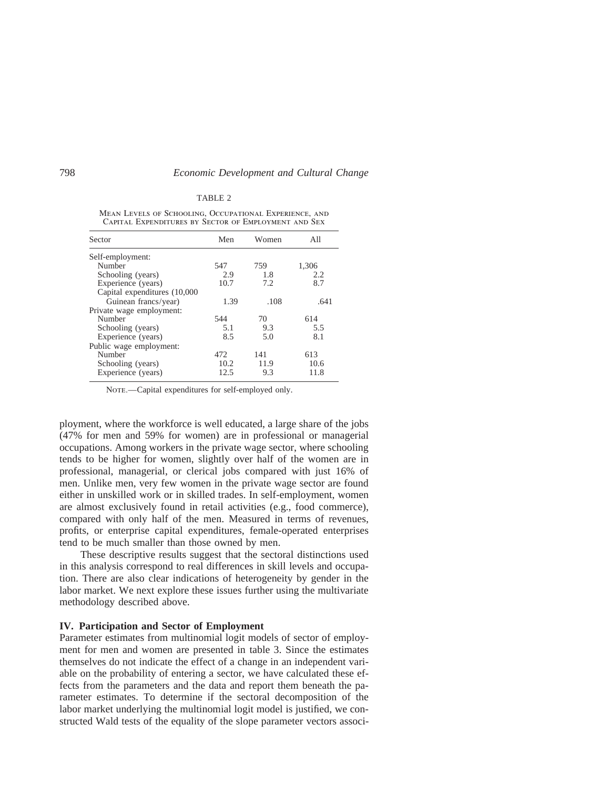#### TABLE 2

| Sector                       | Men  | Women | All   |
|------------------------------|------|-------|-------|
| Self-employment:             |      |       |       |
| Number                       | 547  | 759   | 1,306 |
| Schooling (years)            | 2.9  | 1.8   | 2.2.  |
| Experience (years)           | 10.7 | 7.2   | 8.7   |
| Capital expenditures (10,000 |      |       |       |
| Guinean francs/year)         | 1.39 | .108  | .641  |
| Private wage employment:     |      |       |       |
| Number                       | 544  | 70    | 614   |
| Schooling (years)            | 5.1  | 9.3   | 5.5   |
| Experience (years)           | 8.5  | 5.0   | 8.1   |
| Public wage employment:      |      |       |       |
| Number                       | 472. | 141   | 613   |
| Schooling (years)            | 10.2 | 11.9  | 10.6  |
| Experience (years)           | 12.5 | 9.3   | 11.8  |

Mean Levels of Schooling, Occupational Experience, and Capital Expenditures by Sector of Employment and Sex

NOTE.—Capital expenditures for self-employed only.

ployment, where the workforce is well educated, a large share of the jobs (47% for men and 59% for women) are in professional or managerial occupations. Among workers in the private wage sector, where schooling tends to be higher for women, slightly over half of the women are in professional, managerial, or clerical jobs compared with just 16% of men. Unlike men, very few women in the private wage sector are found either in unskilled work or in skilled trades. In self-employment, women are almost exclusively found in retail activities (e.g., food commerce), compared with only half of the men. Measured in terms of revenues, profits, or enterprise capital expenditures, female-operated enterprises tend to be much smaller than those owned by men.

These descriptive results suggest that the sectoral distinctions used in this analysis correspond to real differences in skill levels and occupation. There are also clear indications of heterogeneity by gender in the labor market. We next explore these issues further using the multivariate methodology described above.

## **IV. Participation and Sector of Employment**

Parameter estimates from multinomial logit models of sector of employment for men and women are presented in table 3. Since the estimates themselves do not indicate the effect of a change in an independent variable on the probability of entering a sector, we have calculated these effects from the parameters and the data and report them beneath the parameter estimates. To determine if the sectoral decomposition of the labor market underlying the multinomial logit model is justified, we constructed Wald tests of the equality of the slope parameter vectors associ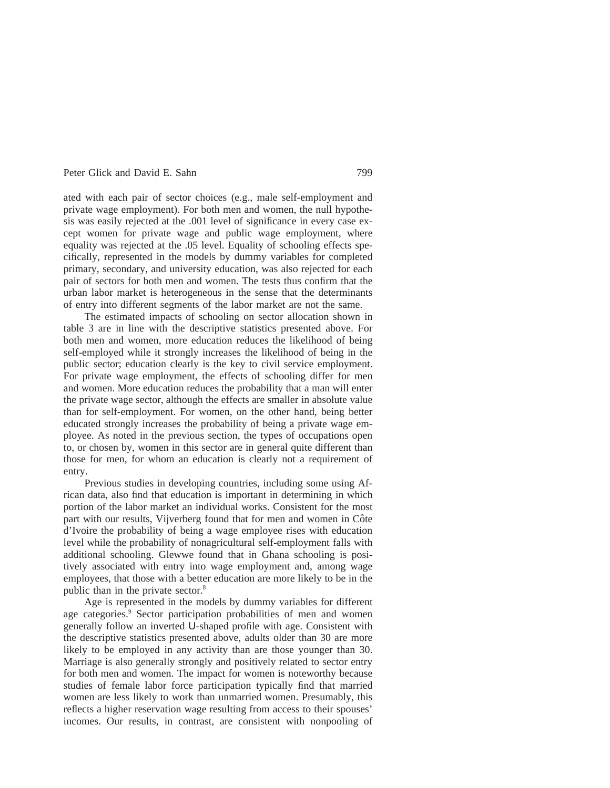ated with each pair of sector choices (e.g., male self-employment and private wage employment). For both men and women, the null hypothesis was easily rejected at the .001 level of significance in every case except women for private wage and public wage employment, where equality was rejected at the .05 level. Equality of schooling effects specifically, represented in the models by dummy variables for completed primary, secondary, and university education, was also rejected for each pair of sectors for both men and women. The tests thus confirm that the urban labor market is heterogeneous in the sense that the determinants of entry into different segments of the labor market are not the same.

The estimated impacts of schooling on sector allocation shown in table 3 are in line with the descriptive statistics presented above. For both men and women, more education reduces the likelihood of being self-employed while it strongly increases the likelihood of being in the public sector; education clearly is the key to civil service employment. For private wage employment, the effects of schooling differ for men and women. More education reduces the probability that a man will enter the private wage sector, although the effects are smaller in absolute value than for self-employment. For women, on the other hand, being better educated strongly increases the probability of being a private wage employee. As noted in the previous section, the types of occupations open to, or chosen by, women in this sector are in general quite different than those for men, for whom an education is clearly not a requirement of entry.

Previous studies in developing countries, including some using African data, also find that education is important in determining in which portion of the labor market an individual works. Consistent for the most part with our results, Vijverberg found that for men and women in Côte d'Ivoire the probability of being a wage employee rises with education level while the probability of nonagricultural self-employment falls with additional schooling. Glewwe found that in Ghana schooling is positively associated with entry into wage employment and, among wage employees, that those with a better education are more likely to be in the public than in the private sector.8

Age is represented in the models by dummy variables for different age categories.<sup>9</sup> Sector participation probabilities of men and women generally follow an inverted U-shaped profile with age. Consistent with the descriptive statistics presented above, adults older than 30 are more likely to be employed in any activity than are those younger than 30. Marriage is also generally strongly and positively related to sector entry for both men and women. The impact for women is noteworthy because studies of female labor force participation typically find that married women are less likely to work than unmarried women. Presumably, this reflects a higher reservation wage resulting from access to their spouses' incomes. Our results, in contrast, are consistent with nonpooling of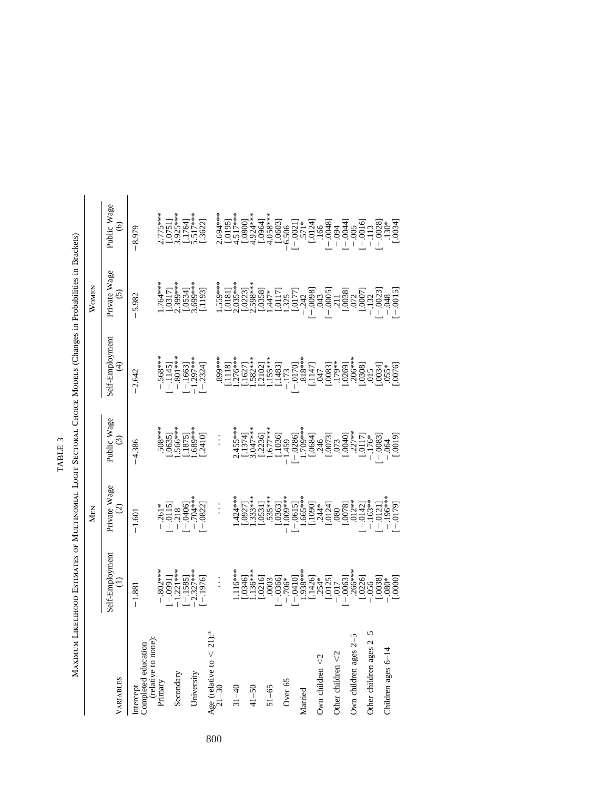| MAXIMUM                                            |                                                                |                                                                                      |                                                                      | LIKELIHOOD ESTIMATES OF MULTINOMIAL LOGIT SECTORAL CHOICE MODELS (Changes in Probabilities in Brackets) |                                   |                                                                                                                                                                                                                                      |
|----------------------------------------------------|----------------------------------------------------------------|--------------------------------------------------------------------------------------|----------------------------------------------------------------------|---------------------------------------------------------------------------------------------------------|-----------------------------------|--------------------------------------------------------------------------------------------------------------------------------------------------------------------------------------------------------------------------------------|
|                                                    |                                                                | MEN                                                                                  |                                                                      |                                                                                                         | WOMEN                             |                                                                                                                                                                                                                                      |
| VARIABLES                                          | Self-Employment<br>$\ominus$                                   | Private Wage<br>$\odot$                                                              | Public Wage<br>$\odot$                                               | Self-Employment<br>$\bigoplus$                                                                          | Private Wage<br>$\overline{6}$    | Public Wage<br>$\widehat{\circ}$                                                                                                                                                                                                     |
| Intercept<br>Completed education                   | $-1.881$                                                       | $-1.601$                                                                             | $-4.386$                                                             | $-2.642$                                                                                                | $-5.982$                          | $-8.979$                                                                                                                                                                                                                             |
| (relative to none)<br>Primary                      |                                                                |                                                                                      | $508***$<br>[.0635]<br>[.566***                                      | $-568***$<br>$-1145$<br>$-1145$<br>$-801***$                                                            | $1.764***$<br>[.0317]<br>2.399*** |                                                                                                                                                                                                                                      |
| Secondary                                          |                                                                |                                                                                      |                                                                      |                                                                                                         |                                   |                                                                                                                                                                                                                                      |
| University                                         | $-802***$<br>$[-0991]$<br>$-121***$<br>$[-121***$<br>$-237***$ | $-261*$<br>$[-0115]$<br>$[-218]$<br>$[-0406]$<br>$[-0406]$<br>$[-0408]$<br>$[-0822]$ | $\begin{array}{c} \n 1.875 \\  1.689*** \\  1.689*** \n \end{array}$ | $[-.1663]$<br>$-1.297***$<br>$[-.2324]$                                                                 | $[.0534]$<br>3.699***<br>[.1193]  | 2.775***<br>[.0751]<br>3.925***<br>5.517***<br>5.517***                                                                                                                                                                              |
| Age (relative to $\lt 21$ ): <sup>4</sup><br>21-30 |                                                                |                                                                                      |                                                                      |                                                                                                         |                                   |                                                                                                                                                                                                                                      |
|                                                    |                                                                |                                                                                      |                                                                      |                                                                                                         |                                   |                                                                                                                                                                                                                                      |
| $31 - 40$                                          |                                                                |                                                                                      |                                                                      |                                                                                                         |                                   |                                                                                                                                                                                                                                      |
| $41 - 50$                                          |                                                                | $1.424***$<br>$1.9927$<br>$1.333***$<br>$1.6531$<br>$.535***$                        |                                                                      |                                                                                                         |                                   |                                                                                                                                                                                                                                      |
| $51 - 65$                                          |                                                                |                                                                                      |                                                                      |                                                                                                         |                                   |                                                                                                                                                                                                                                      |
| Over 65                                            |                                                                | $[.0363]$<br>$1.009***$                                                              |                                                                      |                                                                                                         |                                   |                                                                                                                                                                                                                                      |
| Married                                            |                                                                |                                                                                      |                                                                      |                                                                                                         |                                   |                                                                                                                                                                                                                                      |
| Own children $<$ 2                                 |                                                                |                                                                                      |                                                                      |                                                                                                         |                                   |                                                                                                                                                                                                                                      |
| Other children $<$ 2                               |                                                                |                                                                                      |                                                                      |                                                                                                         |                                   |                                                                                                                                                                                                                                      |
| Own children ages 2-                               |                                                                |                                                                                      |                                                                      |                                                                                                         |                                   | 16033<br>16093   16093   16093   16093   16093   16093   16093   16093   16093   16093   16093   16093   16093  <br>16093   16093   16093   16093   16093   16093   16093   16093   16093   16093   16093   16093   16093   1609<br> |
| Other children ages 2-                             |                                                                |                                                                                      |                                                                      |                                                                                                         |                                   |                                                                                                                                                                                                                                      |
| Children ages 6-14                                 |                                                                | $\begin{bmatrix} -.0121 \\ -.196*** \\ -.0179 \end{bmatrix}$                         |                                                                      |                                                                                                         |                                   |                                                                                                                                                                                                                                      |
|                                                    |                                                                |                                                                                      |                                                                      |                                                                                                         |                                   |                                                                                                                                                                                                                                      |

TABLE 3 TABLE 3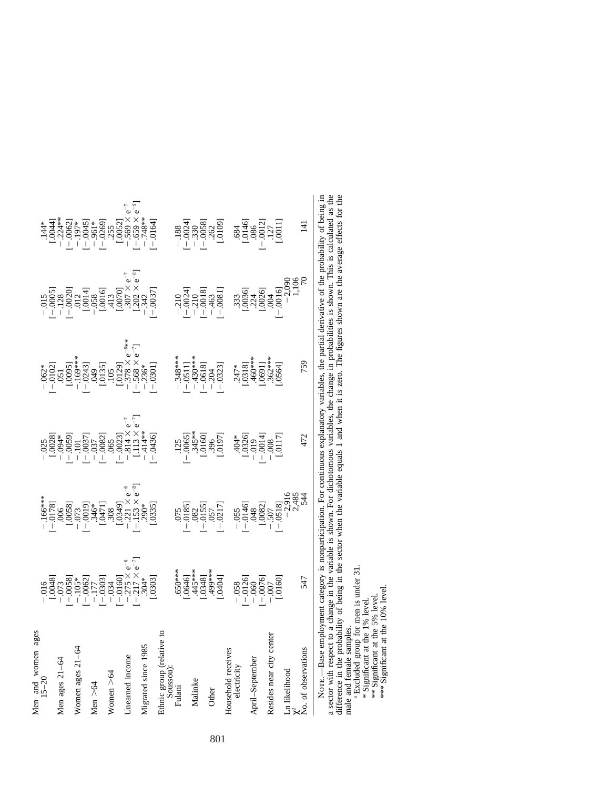NorE—Base employment category is nonparticipation. For continuous explanatory variables, the partial derivative of the probability of being in<br>a sector with respect to a change in the variable is shown. For dichotomous var Note.—Base employment category is nonparticipation. For continuous explanatory variables, the partial derivative of the probability of being in a sector with respect to a change in the variable is shown. For dichotomous variables, the change in probabilities is shown. This is calculated as the difference in the probability of being in the sector when the variable equals 1 and when it is zero. The figures shown are the average effects for the male and female samples.<br><sup>a</sup> Excluded group for men is under 31.

\* Significant at the 1% level.

\* Significant at the 1% level.<br>\*\*\* Significant at the 5% level.<br>\*\*\*\* Significant at the 10% level. \*\* Significant at the 5% level.

\*\*\* Significant at the 10% level.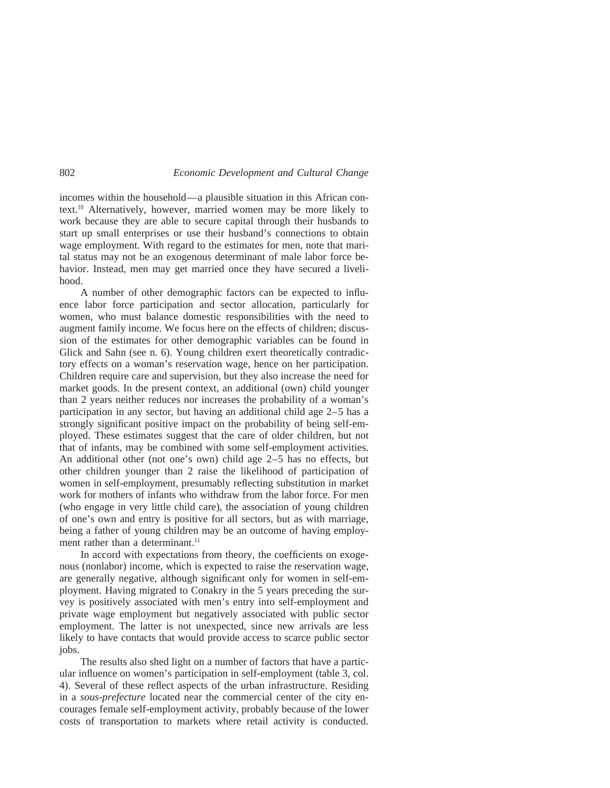incomes within the household—a plausible situation in this African context.10 Alternatively, however, married women may be more likely to work because they are able to secure capital through their husbands to start up small enterprises or use their husband's connections to obtain wage employment. With regard to the estimates for men, note that marital status may not be an exogenous determinant of male labor force behavior. Instead, men may get married once they have secured a livelihood.

A number of other demographic factors can be expected to influence labor force participation and sector allocation, particularly for women, who must balance domestic responsibilities with the need to augment family income. We focus here on the effects of children; discussion of the estimates for other demographic variables can be found in Glick and Sahn (see n. 6). Young children exert theoretically contradictory effects on a woman's reservation wage, hence on her participation. Children require care and supervision, but they also increase the need for market goods. In the present context, an additional (own) child younger than 2 years neither reduces nor increases the probability of a woman's participation in any sector, but having an additional child age 2–5 has a strongly significant positive impact on the probability of being self-employed. These estimates suggest that the care of older children, but not that of infants, may be combined with some self-employment activities. An additional other (not one's own) child age  $2-5$  has no effects, but other children younger than 2 raise the likelihood of participation of women in self-employment, presumably reflecting substitution in market work for mothers of infants who withdraw from the labor force. For men (who engage in very little child care), the association of young children of one's own and entry is positive for all sectors, but as with marriage, being a father of young children may be an outcome of having employment rather than a determinant.<sup>11</sup>

In accord with expectations from theory, the coefficients on exogenous (nonlabor) income, which is expected to raise the reservation wage, are generally negative, although significant only for women in self-employment. Having migrated to Conakry in the 5 years preceding the survey is positively associated with men's entry into self-employment and private wage employment but negatively associated with public sector employment. The latter is not unexpected, since new arrivals are less likely to have contacts that would provide access to scarce public sector jobs.

The results also shed light on a number of factors that have a particular influence on women's participation in self-employment (table 3, col. 4). Several of these reflect aspects of the urban infrastructure. Residing in a *sous-prefecture* located near the commercial center of the city encourages female self-employment activity, probably because of the lower costs of transportation to markets where retail activity is conducted.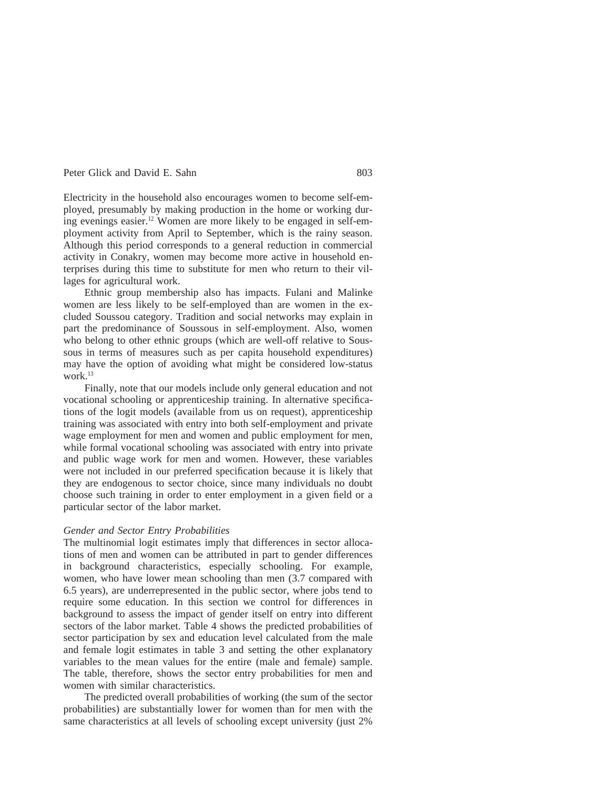Electricity in the household also encourages women to become self-employed, presumably by making production in the home or working during evenings easier.12 Women are more likely to be engaged in self-employment activity from April to September, which is the rainy season. Although this period corresponds to a general reduction in commercial activity in Conakry, women may become more active in household enterprises during this time to substitute for men who return to their villages for agricultural work.

Ethnic group membership also has impacts. Fulani and Malinke women are less likely to be self-employed than are women in the excluded Soussou category. Tradition and social networks may explain in part the predominance of Soussous in self-employment. Also, women who belong to other ethnic groups (which are well-off relative to Soussous in terms of measures such as per capita household expenditures) may have the option of avoiding what might be considered low-status work.13

Finally, note that our models include only general education and not vocational schooling or apprenticeship training. In alternative specifications of the logit models (available from us on request), apprenticeship training was associated with entry into both self-employment and private wage employment for men and women and public employment for men, while formal vocational schooling was associated with entry into private and public wage work for men and women. However, these variables were not included in our preferred specification because it is likely that they are endogenous to sector choice, since many individuals no doubt choose such training in order to enter employment in a given field or a particular sector of the labor market.

#### *Gender and Sector Entry Probabilities*

The multinomial logit estimates imply that differences in sector allocations of men and women can be attributed in part to gender differences in background characteristics, especially schooling. For example, women, who have lower mean schooling than men (3.7 compared with 6.5 years), are underrepresented in the public sector, where jobs tend to require some education. In this section we control for differences in background to assess the impact of gender itself on entry into different sectors of the labor market. Table 4 shows the predicted probabilities of sector participation by sex and education level calculated from the male and female logit estimates in table 3 and setting the other explanatory variables to the mean values for the entire (male and female) sample. The table, therefore, shows the sector entry probabilities for men and women with similar characteristics.

The predicted overall probabilities of working (the sum of the sector probabilities) are substantially lower for women than for men with the same characteristics at all levels of schooling except university (just 2%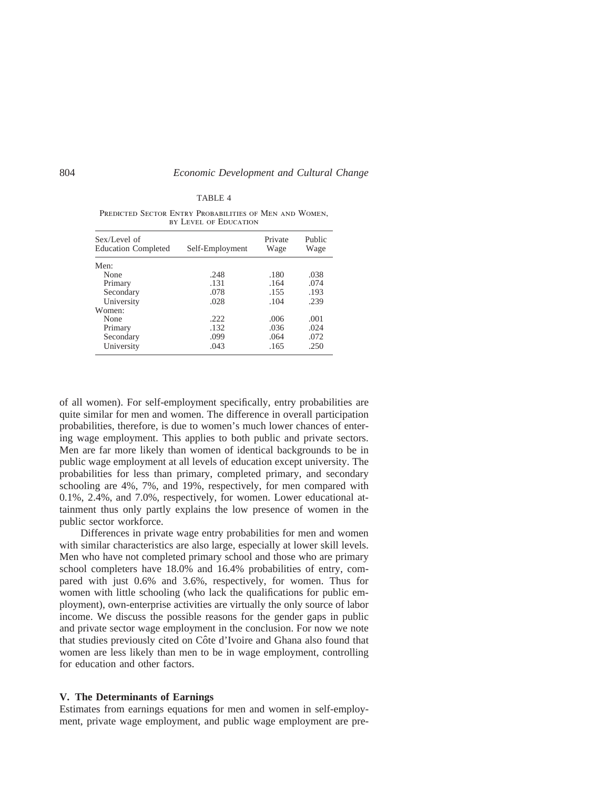#### TABLE 4

| Sex/Level of<br><b>Education Completed</b> | Self-Employment | Private<br>Wage | Public<br>Wage |
|--------------------------------------------|-----------------|-----------------|----------------|
| Men:                                       |                 |                 |                |
| None                                       | .248            | .180            | .038           |
| Primary                                    | .131            | .164            | .074           |
| Secondary                                  | .078            | .155            | .193           |
| University                                 | .028            | .104            | .239           |
| Women:                                     |                 |                 |                |
| None                                       | .222            | .006            | .001           |
| Primary                                    | .132            | .036            | .024           |
| Secondary                                  | .099            | .064            | .072           |
| University                                 | .043            | .165            | .250           |

PREDICTED SECTOR ENTRY PROBABILITIES OF MEN AND WOMEN, by Level of Education

of all women). For self-employment specifically, entry probabilities are quite similar for men and women. The difference in overall participation probabilities, therefore, is due to women's much lower chances of entering wage employment. This applies to both public and private sectors. Men are far more likely than women of identical backgrounds to be in public wage employment at all levels of education except university. The probabilities for less than primary, completed primary, and secondary schooling are 4%, 7%, and 19%, respectively, for men compared with 0.1%, 2.4%, and 7.0%, respectively, for women. Lower educational attainment thus only partly explains the low presence of women in the public sector workforce.

Differences in private wage entry probabilities for men and women with similar characteristics are also large, especially at lower skill levels. Men who have not completed primary school and those who are primary school completers have 18.0% and 16.4% probabilities of entry, compared with just 0.6% and 3.6%, respectively, for women. Thus for women with little schooling (who lack the qualifications for public employment), own-enterprise activities are virtually the only source of labor income. We discuss the possible reasons for the gender gaps in public and private sector wage employment in the conclusion. For now we note that studies previously cited on Côte d'Ivoire and Ghana also found that women are less likely than men to be in wage employment, controlling for education and other factors.

#### **V. The Determinants of Earnings**

Estimates from earnings equations for men and women in self-employment, private wage employment, and public wage employment are pre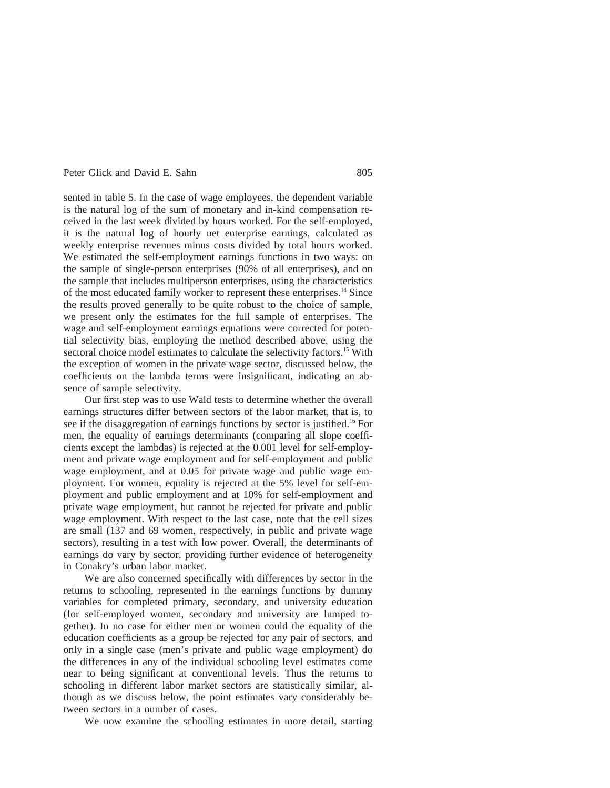sented in table 5. In the case of wage employees, the dependent variable is the natural log of the sum of monetary and in-kind compensation received in the last week divided by hours worked. For the self-employed, it is the natural log of hourly net enterprise earnings, calculated as weekly enterprise revenues minus costs divided by total hours worked. We estimated the self-employment earnings functions in two ways: on the sample of single-person enterprises (90% of all enterprises), and on the sample that includes multiperson enterprises, using the characteristics of the most educated family worker to represent these enterprises.14 Since the results proved generally to be quite robust to the choice of sample, we present only the estimates for the full sample of enterprises. The wage and self-employment earnings equations were corrected for potential selectivity bias, employing the method described above, using the sectoral choice model estimates to calculate the selectivity factors.<sup>15</sup> With the exception of women in the private wage sector, discussed below, the coefficients on the lambda terms were insignificant, indicating an absence of sample selectivity.

Our first step was to use Wald tests to determine whether the overall earnings structures differ between sectors of the labor market, that is, to see if the disaggregation of earnings functions by sector is justified.<sup>16</sup> For men, the equality of earnings determinants (comparing all slope coefficients except the lambdas) is rejected at the 0.001 level for self-employment and private wage employment and for self-employment and public wage employment, and at 0.05 for private wage and public wage employment. For women, equality is rejected at the 5% level for self-employment and public employment and at 10% for self-employment and private wage employment, but cannot be rejected for private and public wage employment. With respect to the last case, note that the cell sizes are small (137 and 69 women, respectively, in public and private wage sectors), resulting in a test with low power. Overall, the determinants of earnings do vary by sector, providing further evidence of heterogeneity in Conakry's urban labor market.

We are also concerned specifically with differences by sector in the returns to schooling, represented in the earnings functions by dummy variables for completed primary, secondary, and university education (for self-employed women, secondary and university are lumped together). In no case for either men or women could the equality of the education coefficients as a group be rejected for any pair of sectors, and only in a single case (men's private and public wage employment) do the differences in any of the individual schooling level estimates come near to being significant at conventional levels. Thus the returns to schooling in different labor market sectors are statistically similar, although as we discuss below, the point estimates vary considerably between sectors in a number of cases.

We now examine the schooling estimates in more detail, starting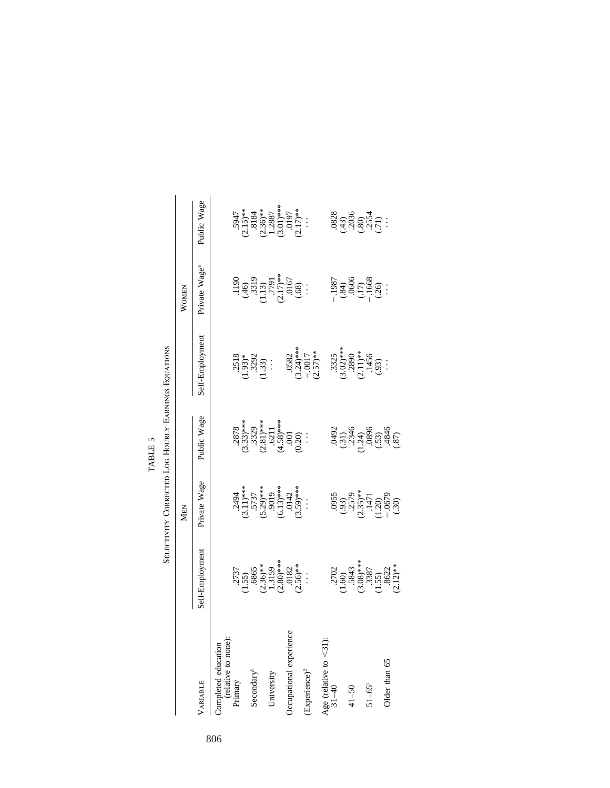|                                            |                                                                                                                                                                                                                                                                                                                                    | SELECTIVITY CORRECTED LOG HOURLY EARNINGS EQUATIONS                                                                                                                                                                                                                                                                                                                             |                                                                                                                                     |                                                                                                |                                                                         |                                                                                                                                            |
|--------------------------------------------|------------------------------------------------------------------------------------------------------------------------------------------------------------------------------------------------------------------------------------------------------------------------------------------------------------------------------------|---------------------------------------------------------------------------------------------------------------------------------------------------------------------------------------------------------------------------------------------------------------------------------------------------------------------------------------------------------------------------------|-------------------------------------------------------------------------------------------------------------------------------------|------------------------------------------------------------------------------------------------|-------------------------------------------------------------------------|--------------------------------------------------------------------------------------------------------------------------------------------|
|                                            |                                                                                                                                                                                                                                                                                                                                    | <b>MEN</b>                                                                                                                                                                                                                                                                                                                                                                      |                                                                                                                                     |                                                                                                | WOMEN                                                                   |                                                                                                                                            |
| VARIABLE                                   | Self-Employment                                                                                                                                                                                                                                                                                                                    | Private Wage                                                                                                                                                                                                                                                                                                                                                                    | Public Wage                                                                                                                         | Self-Employment                                                                                | Private Wage <sup>a</sup>                                               | Public Wage                                                                                                                                |
| Completed education<br>(relative to none): |                                                                                                                                                                                                                                                                                                                                    |                                                                                                                                                                                                                                                                                                                                                                                 |                                                                                                                                     |                                                                                                |                                                                         |                                                                                                                                            |
| Primary                                    | $\begin{array}{c} .2737 \\ .155 \\ .6865 \\ .6865 \\ .2363^* \\ .13159^* \\ .2636^* \\ .263^* \\ .263^* \\ .263^* \\ .263^* \\ .263^* \\ .263^* \\ .263^* \\ .263^* \\ .263^* \\ .263^* \\ .263^* \\ .263^* \\ .263^* \\ .263^* \\ .263^* \\ .263^* \\ .263^* \\ .263^* \\ .263^* \\ .263^* \\ .263^* \\ .263^* \\ .263^* \\ .263$ | $(3.11)$<br>$(3.11)$<br>$(3.11)$<br>$(3.29)$<br>$(3.39)$<br>$(3.29)$<br>$(3.39)$<br>$(3.39)$<br>$(3.39)$<br>$(3.39)$<br>$(3.39)$<br>$(3.39)$<br>$(3.39)$<br>$(3.39)$                                                                                                                                                                                                            | $.2878$<br>$.33)$ ***<br>$.3329$<br>$.3329$<br>$.6211$<br>$.6711$<br>$.6711$<br>$.6711$<br>$.6711$<br>$.6711$<br>$.6711$<br>$.6711$ |                                                                                                |                                                                         | $\begin{array}{c} .5947\\ (2.15)**\\ (3.184\\ (2.36)**\\ (2.36)**\\ (3.01)***\\ (3.01)**\\ (3.017)**\\ (3.017)**\\ (2.17)**\\ \end{array}$ |
|                                            |                                                                                                                                                                                                                                                                                                                                    |                                                                                                                                                                                                                                                                                                                                                                                 |                                                                                                                                     |                                                                                                |                                                                         |                                                                                                                                            |
| Secondary <sup>b</sup>                     |                                                                                                                                                                                                                                                                                                                                    |                                                                                                                                                                                                                                                                                                                                                                                 |                                                                                                                                     |                                                                                                |                                                                         |                                                                                                                                            |
|                                            |                                                                                                                                                                                                                                                                                                                                    |                                                                                                                                                                                                                                                                                                                                                                                 |                                                                                                                                     |                                                                                                |                                                                         |                                                                                                                                            |
| University                                 |                                                                                                                                                                                                                                                                                                                                    |                                                                                                                                                                                                                                                                                                                                                                                 |                                                                                                                                     |                                                                                                |                                                                         |                                                                                                                                            |
|                                            |                                                                                                                                                                                                                                                                                                                                    |                                                                                                                                                                                                                                                                                                                                                                                 |                                                                                                                                     |                                                                                                |                                                                         |                                                                                                                                            |
| Occupational experience                    |                                                                                                                                                                                                                                                                                                                                    |                                                                                                                                                                                                                                                                                                                                                                                 |                                                                                                                                     |                                                                                                |                                                                         |                                                                                                                                            |
|                                            |                                                                                                                                                                                                                                                                                                                                    |                                                                                                                                                                                                                                                                                                                                                                                 |                                                                                                                                     |                                                                                                | $(1190\n(46)\n(45)\n(3319\n(113)\n(217)**\n(56)\n(68)$                  |                                                                                                                                            |
| $\exp$ erience $)^2$                       |                                                                                                                                                                                                                                                                                                                                    |                                                                                                                                                                                                                                                                                                                                                                                 |                                                                                                                                     | .0582<br>$(3.24)$ ***<br>$-0.017$<br>$(2.57)$ **                                               |                                                                         |                                                                                                                                            |
| Age (relative to $<$ 31):                  |                                                                                                                                                                                                                                                                                                                                    |                                                                                                                                                                                                                                                                                                                                                                                 |                                                                                                                                     |                                                                                                |                                                                         |                                                                                                                                            |
|                                            |                                                                                                                                                                                                                                                                                                                                    |                                                                                                                                                                                                                                                                                                                                                                                 |                                                                                                                                     |                                                                                                |                                                                         |                                                                                                                                            |
| $31 - 40$                                  | $\begin{array}{c} .2702 \\ .1.60) \\ .5843 \\ .308 \text{*}^{***} \\ .3387 \\ .3587 \\ .3587 \\ .3622 \\ .3622 \\ .459 \end{array}$                                                                                                                                                                                                | $\begin{array}{c} 0955 \\ (095) \\ (257) \\ (147) \\ (120) \\ (-147) \\ (-147) \\ (-147) \\ (-147) \\ (-147) \\ (-147) \\ (-147) \\ (-147) \\ (-147) \\ (-147) \\ (-147) \\ (-147) \\ (-147) \\ (-147) \\ (-147) \\ (-147) \\ (-147) \\ (-147) \\ (-147) \\ (-147) \\ (-147) \\ (-147) \\ (-147) \\ (-147) \\ (-147) \\ (-147) \\ (-147) \\ (-147) \\ (-147) \\ (-147) \\ (-14$ | $345$<br>$(31)$<br>$(31)$<br>$(31)$<br>$(31)$<br>$(33)$<br>$(33)$<br>$(33)$<br>$(35)$                                               | $\begin{array}{c} .3325 \\ .302) ^{***} \\ .2890 \\ .211) ^{**} \\ .1456 \\ .93 \end{array} .$ | $-1987$<br>$(34)$<br>$(0606$<br>$(17)$<br>$-1668$<br>$-1688$<br>$\cdot$ |                                                                                                                                            |
| $41 - 50$                                  |                                                                                                                                                                                                                                                                                                                                    |                                                                                                                                                                                                                                                                                                                                                                                 |                                                                                                                                     |                                                                                                |                                                                         |                                                                                                                                            |
|                                            |                                                                                                                                                                                                                                                                                                                                    |                                                                                                                                                                                                                                                                                                                                                                                 |                                                                                                                                     |                                                                                                |                                                                         |                                                                                                                                            |
| $51-65^\circ$                              |                                                                                                                                                                                                                                                                                                                                    |                                                                                                                                                                                                                                                                                                                                                                                 |                                                                                                                                     |                                                                                                |                                                                         |                                                                                                                                            |
|                                            |                                                                                                                                                                                                                                                                                                                                    |                                                                                                                                                                                                                                                                                                                                                                                 |                                                                                                                                     |                                                                                                |                                                                         |                                                                                                                                            |
| Older than 65                              |                                                                                                                                                                                                                                                                                                                                    |                                                                                                                                                                                                                                                                                                                                                                                 |                                                                                                                                     |                                                                                                |                                                                         |                                                                                                                                            |
|                                            |                                                                                                                                                                                                                                                                                                                                    |                                                                                                                                                                                                                                                                                                                                                                                 |                                                                                                                                     |                                                                                                |                                                                         |                                                                                                                                            |

TABLE 5

TABLE 5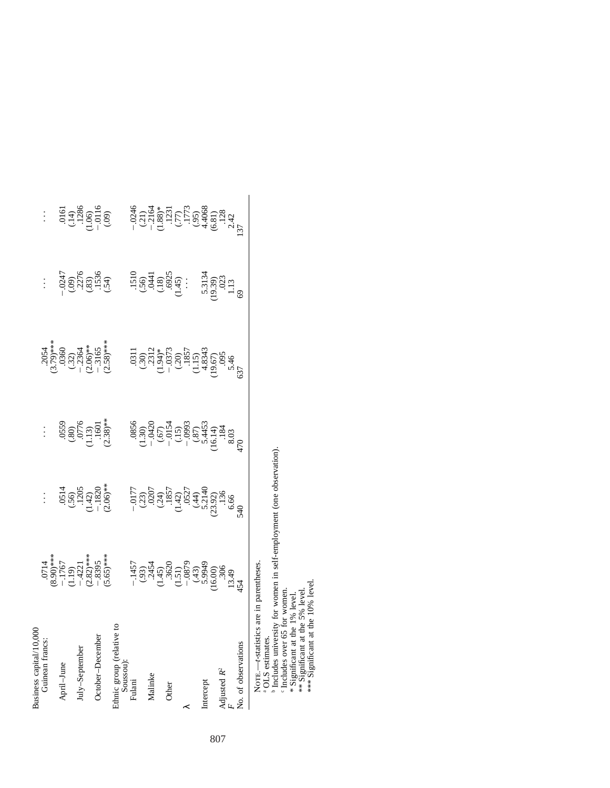| usiness capital/10,00                                     |                                                                                                                                                                                                        |                                                                                                                                                                                                                                                                                                                  |                                                                                                                                                                                                                                                                                                                                   |                                                                                                                                                                                                                                                                                                                                |                                                                         |                                                                                                                                              |
|-----------------------------------------------------------|--------------------------------------------------------------------------------------------------------------------------------------------------------------------------------------------------------|------------------------------------------------------------------------------------------------------------------------------------------------------------------------------------------------------------------------------------------------------------------------------------------------------------------|-----------------------------------------------------------------------------------------------------------------------------------------------------------------------------------------------------------------------------------------------------------------------------------------------------------------------------------|--------------------------------------------------------------------------------------------------------------------------------------------------------------------------------------------------------------------------------------------------------------------------------------------------------------------------------|-------------------------------------------------------------------------|----------------------------------------------------------------------------------------------------------------------------------------------|
| Guinean francs.                                           |                                                                                                                                                                                                        |                                                                                                                                                                                                                                                                                                                  |                                                                                                                                                                                                                                                                                                                                   |                                                                                                                                                                                                                                                                                                                                |                                                                         |                                                                                                                                              |
|                                                           |                                                                                                                                                                                                        |                                                                                                                                                                                                                                                                                                                  |                                                                                                                                                                                                                                                                                                                                   |                                                                                                                                                                                                                                                                                                                                |                                                                         |                                                                                                                                              |
| $\rm{pril-June}$                                          |                                                                                                                                                                                                        |                                                                                                                                                                                                                                                                                                                  |                                                                                                                                                                                                                                                                                                                                   |                                                                                                                                                                                                                                                                                                                                |                                                                         |                                                                                                                                              |
|                                                           |                                                                                                                                                                                                        |                                                                                                                                                                                                                                                                                                                  |                                                                                                                                                                                                                                                                                                                                   |                                                                                                                                                                                                                                                                                                                                |                                                                         |                                                                                                                                              |
| Iuly-September                                            |                                                                                                                                                                                                        |                                                                                                                                                                                                                                                                                                                  |                                                                                                                                                                                                                                                                                                                                   |                                                                                                                                                                                                                                                                                                                                |                                                                         |                                                                                                                                              |
|                                                           |                                                                                                                                                                                                        |                                                                                                                                                                                                                                                                                                                  |                                                                                                                                                                                                                                                                                                                                   |                                                                                                                                                                                                                                                                                                                                |                                                                         |                                                                                                                                              |
| October-December                                          | $(0.0714$<br>$(8.90)$ <sup>**</sup><br>$(-1.19)$<br>$(-1.19)$<br>$(-1.19)$<br>$(-8.82)$ **<br>$(-8.82)$ **<br>$(-8.85)$ **                                                                             | $\begin{array}{c} .0514 \ .56 \ .501 \ .1205 \ .142 \ .1820 \ .1202 \ .1820 \ .1201 \ .1820 \ .1201 \ .1201 \ .1201 \ .1202 \ .1203 \ .1203 \ .1203 \ .1203 \ .1203 \ .1203 \ .1203 \ .1203 \ .1203 \ .1203 \ .1203 \ .1203 \ .1203 \ .1203 \ .1203 \ .1203 \ .1203 \ .1203 \ .1203 \ .1203 \ .1203 \ .1203 \ .$ | $(359$<br>$(30)$<br>$(113)$<br>$(1601$<br>$(1601)$<br>$(238)$ *                                                                                                                                                                                                                                                                   | $(2054$<br>$(3.79)$ <sup>**</sup><br>$(3.2)$<br>$(3.2)$<br>$(2.06)$ <sup>**</sup><br>$(2.165)$ <sup>**</sup>                                                                                                                                                                                                                   | $-0247$<br>$(09)$<br>$(00)$<br>$(00)$<br>$(00)$<br>$(0.35)$<br>$(0.54)$ | $0.14$<br>$0.14$<br>$0.128$<br>$0.15$<br>$0.01$<br>$0.09$                                                                                    |
|                                                           |                                                                                                                                                                                                        |                                                                                                                                                                                                                                                                                                                  |                                                                                                                                                                                                                                                                                                                                   |                                                                                                                                                                                                                                                                                                                                |                                                                         |                                                                                                                                              |
| A<br>Inic group (relative <i>r</i><br>Soussou):<br>Tulani |                                                                                                                                                                                                        |                                                                                                                                                                                                                                                                                                                  |                                                                                                                                                                                                                                                                                                                                   |                                                                                                                                                                                                                                                                                                                                |                                                                         |                                                                                                                                              |
|                                                           |                                                                                                                                                                                                        |                                                                                                                                                                                                                                                                                                                  |                                                                                                                                                                                                                                                                                                                                   |                                                                                                                                                                                                                                                                                                                                |                                                                         |                                                                                                                                              |
|                                                           |                                                                                                                                                                                                        |                                                                                                                                                                                                                                                                                                                  |                                                                                                                                                                                                                                                                                                                                   |                                                                                                                                                                                                                                                                                                                                |                                                                         |                                                                                                                                              |
| Malinke                                                   | $-1457$<br>$-333$<br>$-3452$<br>$-353$<br>$-353$<br>$-353$<br>$-353$<br>$-353$<br>$-353$<br>$-353$<br>$-353$<br>$-353$<br>$-353$<br>$-353$<br>$-353$<br>$-353$<br>$-353$<br>$-353$<br>$-353$<br>$-353$ | $-0.177$<br>$-0.33$<br>$-0.23$<br>$-0.35$<br>$-0.44$<br>$-0.55$<br>$-0.55$<br>$-0.53$<br>$-0.53$<br>$-0.53$<br>$-0.53$<br>$-0.53$<br>$-0.53$<br>$-0.53$<br>$-0.53$<br>$-0.53$<br>$-0.53$<br>$-0.53$<br>$-0.53$<br>$-0.53$<br>$-0.53$<br>$-0.53$<br>$-0.53$<br>$-0.53$                                            | $\begin{array}{c} 0.856 \\ -0.130 \\ -0.012 \\ -0.013 \\ -0.013 \\ -0.0993 \\ -0.093 \\ -0.003 \\ -0.003 \\ -0.003 \\ -0.003 \\ -0.003 \\ -0.003 \\ -0.003 \\ -0.003 \\ -0.003 \\ -0.003 \\ -0.003 \\ -0.003 \\ -0.003 \\ -0.003 \\ -0.003 \\ -0.003 \\ -0.003 \\ -0.003 \\ -0.003 \\ -0.003 \\ -0.003 \\ -0.003 \\ -0.003 \\ -0$ | $\begin{array}{l} 1311\\ 031\\ 030\\ (30)\\ (131)^2\\ (131)^3\\ (131)^2\\ (131)^2\\ (131)^2\\ (131)^2\\ (131)^2\\ (131)^2\\ (131)^2\\ (131)^2\\ (131)^2\\ (131)^2\\ (131)^2\\ (131)^2\\ (131)^2\\ (131)^2\\ (131)^2\\ (131)^2\\ (131)^2\\ (131)^2\\ (131)^2\\ (131)^2\\ (131)^2\\ (131)^2\\ (131)^2\\ (131)^2\\ (131)^2\\ (13$ | $(1510$<br>$(36)$<br>$(18)$<br>$(3025)$<br>$(145)$<br>$(145)$           | $-24$<br>$-21$<br>$-31$<br>$-35$<br>$-35$<br>$-35$<br>$-35$<br>$-35$<br>$-35$<br>$-35$<br>$-35$<br>$-35$<br>$-35$<br>$-35$<br>$-35$<br>$-35$ |
|                                                           |                                                                                                                                                                                                        |                                                                                                                                                                                                                                                                                                                  |                                                                                                                                                                                                                                                                                                                                   |                                                                                                                                                                                                                                                                                                                                |                                                                         |                                                                                                                                              |
| <b>Other</b>                                              |                                                                                                                                                                                                        |                                                                                                                                                                                                                                                                                                                  |                                                                                                                                                                                                                                                                                                                                   |                                                                                                                                                                                                                                                                                                                                |                                                                         |                                                                                                                                              |
|                                                           |                                                                                                                                                                                                        |                                                                                                                                                                                                                                                                                                                  |                                                                                                                                                                                                                                                                                                                                   |                                                                                                                                                                                                                                                                                                                                |                                                                         |                                                                                                                                              |
|                                                           |                                                                                                                                                                                                        |                                                                                                                                                                                                                                                                                                                  |                                                                                                                                                                                                                                                                                                                                   |                                                                                                                                                                                                                                                                                                                                |                                                                         |                                                                                                                                              |
|                                                           |                                                                                                                                                                                                        |                                                                                                                                                                                                                                                                                                                  |                                                                                                                                                                                                                                                                                                                                   |                                                                                                                                                                                                                                                                                                                                |                                                                         |                                                                                                                                              |
| Intercept                                                 |                                                                                                                                                                                                        |                                                                                                                                                                                                                                                                                                                  |                                                                                                                                                                                                                                                                                                                                   |                                                                                                                                                                                                                                                                                                                                |                                                                         |                                                                                                                                              |
|                                                           |                                                                                                                                                                                                        |                                                                                                                                                                                                                                                                                                                  |                                                                                                                                                                                                                                                                                                                                   |                                                                                                                                                                                                                                                                                                                                |                                                                         |                                                                                                                                              |
| Adjusted $R^2$                                            |                                                                                                                                                                                                        |                                                                                                                                                                                                                                                                                                                  |                                                                                                                                                                                                                                                                                                                                   |                                                                                                                                                                                                                                                                                                                                | $5.3134$<br>$(19.39)$<br>$(023)$<br>$1.13$<br>$69$                      |                                                                                                                                              |
|                                                           |                                                                                                                                                                                                        |                                                                                                                                                                                                                                                                                                                  |                                                                                                                                                                                                                                                                                                                                   |                                                                                                                                                                                                                                                                                                                                |                                                                         |                                                                                                                                              |
| No. of observati                                          |                                                                                                                                                                                                        |                                                                                                                                                                                                                                                                                                                  |                                                                                                                                                                                                                                                                                                                                   |                                                                                                                                                                                                                                                                                                                                |                                                                         |                                                                                                                                              |
|                                                           |                                                                                                                                                                                                        |                                                                                                                                                                                                                                                                                                                  |                                                                                                                                                                                                                                                                                                                                   |                                                                                                                                                                                                                                                                                                                                |                                                                         |                                                                                                                                              |

NOTE.—*t*-statistics are in parentheses. NOTE.—t-statistics are in parentheses.<br><sup>a</sup> OLS estimates.

OLS estimates.

ن ص Includes university for women in self-employment (one observation).

Includes over 65 for women.

\* Significant at the 1% level. \*\* Significant at the 5% level.

\*\*\* Significant at the 10% level.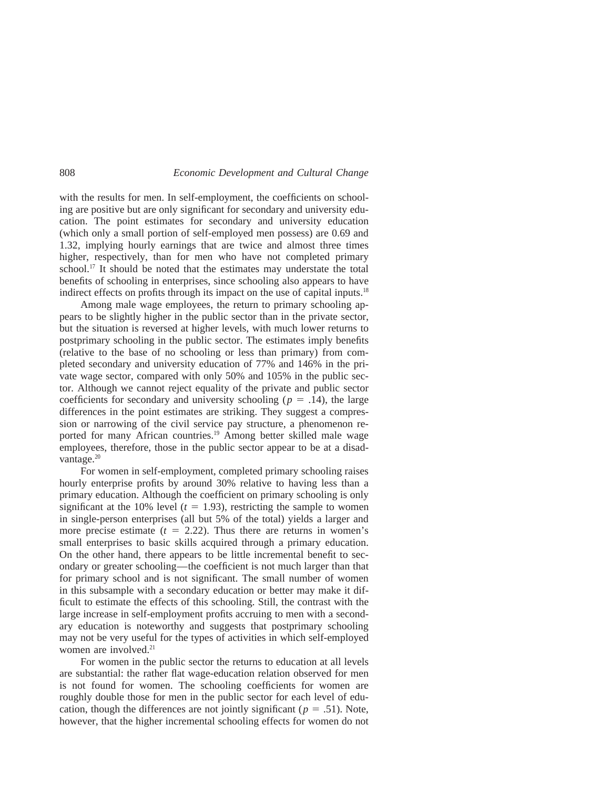with the results for men. In self-employment, the coefficients on schooling are positive but are only significant for secondary and university education. The point estimates for secondary and university education (which only a small portion of self-employed men possess) are 0.69 and 1.32, implying hourly earnings that are twice and almost three times higher, respectively, than for men who have not completed primary school.<sup>17</sup> It should be noted that the estimates may understate the total benefits of schooling in enterprises, since schooling also appears to have indirect effects on profits through its impact on the use of capital inputs.<sup>18</sup>

Among male wage employees, the return to primary schooling appears to be slightly higher in the public sector than in the private sector, but the situation is reversed at higher levels, with much lower returns to postprimary schooling in the public sector. The estimates imply benefits (relative to the base of no schooling or less than primary) from completed secondary and university education of 77% and 146% in the private wage sector, compared with only 50% and 105% in the public sector. Although we cannot reject equality of the private and public sector coefficients for secondary and university schooling ( $p = .14$ ), the large differences in the point estimates are striking. They suggest a compression or narrowing of the civil service pay structure, a phenomenon reported for many African countries.<sup>19</sup> Among better skilled male wage employees, therefore, those in the public sector appear to be at a disadvantage. $20$ 

For women in self-employment, completed primary schooling raises hourly enterprise profits by around 30% relative to having less than a primary education. Although the coefficient on primary schooling is only significant at the 10% level  $(t = 1.93)$ , restricting the sample to women in single-person enterprises (all but 5% of the total) yields a larger and more precise estimate  $(t = 2.22)$ . Thus there are returns in women's small enterprises to basic skills acquired through a primary education. On the other hand, there appears to be little incremental benefit to secondary or greater schooling—the coefficient is not much larger than that for primary school and is not significant. The small number of women in this subsample with a secondary education or better may make it difficult to estimate the effects of this schooling. Still, the contrast with the large increase in self-employment profits accruing to men with a secondary education is noteworthy and suggests that postprimary schooling may not be very useful for the types of activities in which self-employed women are involved.<sup>21</sup>

For women in the public sector the returns to education at all levels are substantial: the rather flat wage-education relation observed for men is not found for women. The schooling coefficients for women are roughly double those for men in the public sector for each level of education, though the differences are not jointly significant ( $p = .51$ ). Note, however, that the higher incremental schooling effects for women do not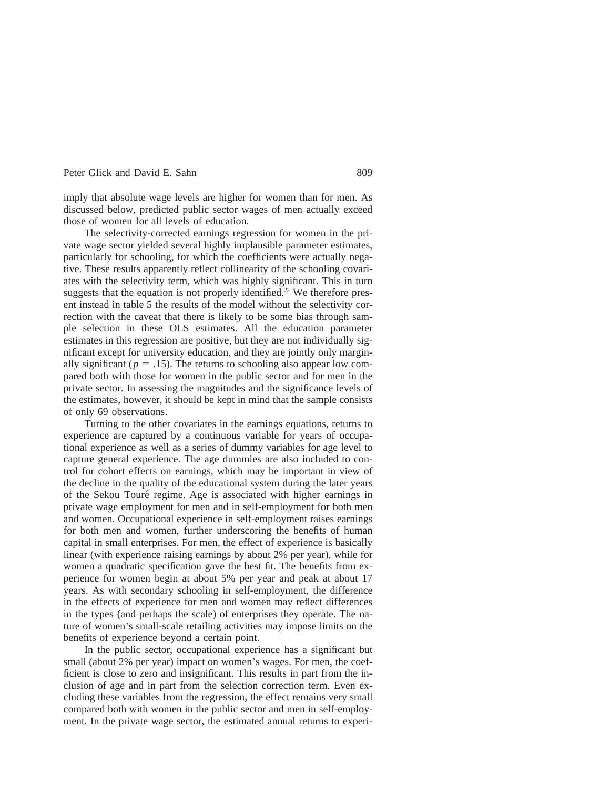imply that absolute wage levels are higher for women than for men. As discussed below, predicted public sector wages of men actually exceed those of women for all levels of education.

The selectivity-corrected earnings regression for women in the private wage sector yielded several highly implausible parameter estimates, particularly for schooling, for which the coefficients were actually negative. These results apparently reflect collinearity of the schooling covariates with the selectivity term, which was highly significant. This in turn suggests that the equation is not properly identified.<sup>22</sup> We therefore present instead in table 5 the results of the model without the selectivity correction with the caveat that there is likely to be some bias through sample selection in these OLS estimates. All the education parameter estimates in this regression are positive, but they are not individually significant except for university education, and they are jointly only marginally significant ( $p = .15$ ). The returns to schooling also appear low compared both with those for women in the public sector and for men in the private sector. In assessing the magnitudes and the significance levels of the estimates, however, it should be kept in mind that the sample consists of only 69 observations.

Turning to the other covariates in the earnings equations, returns to experience are captured by a continuous variable for years of occupational experience as well as a series of dummy variables for age level to capture general experience. The age dummies are also included to control for cohort effects on earnings, which may be important in view of the decline in the quality of the educational system during the later years of the Sekou Touré regime. Age is associated with higher earnings in private wage employment for men and in self-employment for both men and women. Occupational experience in self-employment raises earnings for both men and women, further underscoring the benefits of human capital in small enterprises. For men, the effect of experience is basically linear (with experience raising earnings by about 2% per year), while for women a quadratic specification gave the best fit. The benefits from experience for women begin at about 5% per year and peak at about 17 years. As with secondary schooling in self-employment, the difference in the effects of experience for men and women may reflect differences in the types (and perhaps the scale) of enterprises they operate. The nature of women's small-scale retailing activities may impose limits on the benefits of experience beyond a certain point.

In the public sector, occupational experience has a significant but small (about 2% per year) impact on women's wages. For men, the coefficient is close to zero and insignificant. This results in part from the inclusion of age and in part from the selection correction term. Even excluding these variables from the regression, the effect remains very small compared both with women in the public sector and men in self-employment. In the private wage sector, the estimated annual returns to experi-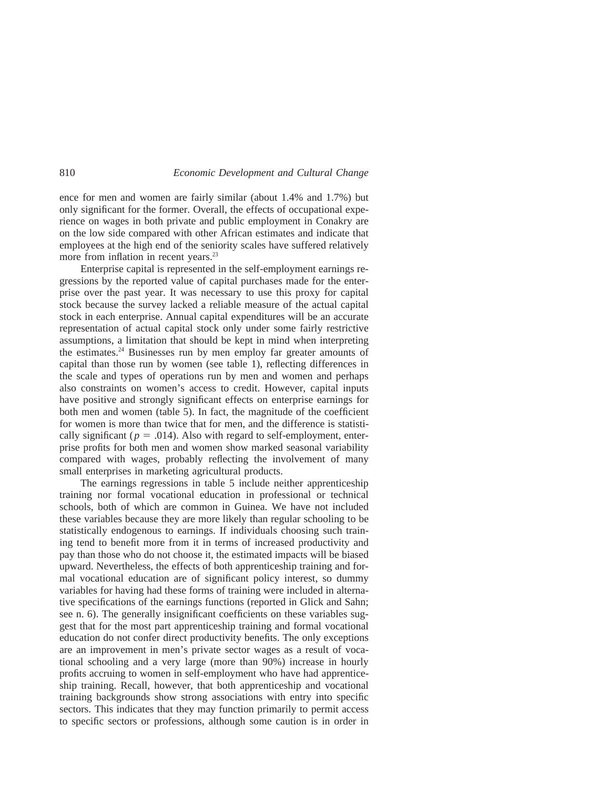ence for men and women are fairly similar (about 1.4% and 1.7%) but only significant for the former. Overall, the effects of occupational experience on wages in both private and public employment in Conakry are on the low side compared with other African estimates and indicate that employees at the high end of the seniority scales have suffered relatively more from inflation in recent years.<sup>23</sup>

Enterprise capital is represented in the self-employment earnings regressions by the reported value of capital purchases made for the enterprise over the past year. It was necessary to use this proxy for capital stock because the survey lacked a reliable measure of the actual capital stock in each enterprise. Annual capital expenditures will be an accurate representation of actual capital stock only under some fairly restrictive assumptions, a limitation that should be kept in mind when interpreting the estimates.24 Businesses run by men employ far greater amounts of capital than those run by women (see table 1), reflecting differences in the scale and types of operations run by men and women and perhaps also constraints on women's access to credit. However, capital inputs have positive and strongly significant effects on enterprise earnings for both men and women (table  $\overline{5}$ ). In fact, the magnitude of the coefficient for women is more than twice that for men, and the difference is statistically significant ( $p = .014$ ). Also with regard to self-employment, enterprise profits for both men and women show marked seasonal variability compared with wages, probably reflecting the involvement of many small enterprises in marketing agricultural products.

The earnings regressions in table 5 include neither apprenticeship training nor formal vocational education in professional or technical schools, both of which are common in Guinea. We have not included these variables because they are more likely than regular schooling to be statistically endogenous to earnings. If individuals choosing such training tend to benefit more from it in terms of increased productivity and pay than those who do not choose it, the estimated impacts will be biased upward. Nevertheless, the effects of both apprenticeship training and formal vocational education are of significant policy interest, so dummy variables for having had these forms of training were included in alternative specifications of the earnings functions (reported in Glick and Sahn; see n. 6). The generally insignificant coefficients on these variables suggest that for the most part apprenticeship training and formal vocational education do not confer direct productivity benefits. The only exceptions are an improvement in men's private sector wages as a result of vocational schooling and a very large (more than 90%) increase in hourly profits accruing to women in self-employment who have had apprenticeship training. Recall, however, that both apprenticeship and vocational training backgrounds show strong associations with entry into specific sectors. This indicates that they may function primarily to permit access to specific sectors or professions, although some caution is in order in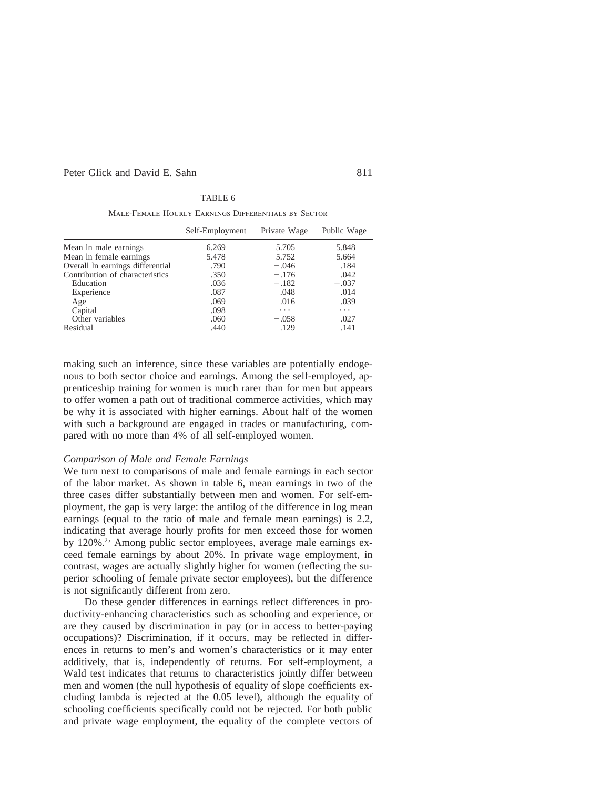|                                  | Self-Employment | Private Wage | Public Wage |
|----------------------------------|-----------------|--------------|-------------|
| Mean ln male earnings            | 6.269           | 5.705        | 5.848       |
| Mean In female earnings          | 5.478           | 5.752        | 5.664       |
| Overall ln earnings differential | .790            | $-.046$      | .184        |
| Contribution of characteristics  | .350            | $-.176$      | .042        |
| Education                        | .036            | $-.182$      | $-.037$     |
| Experience                       | .087            | .048         | .014        |
| Age                              | .069            | .016         | .039        |
| Capital                          | .098            | .            | .           |
| Other variables                  | .060            | $-.058$      | .027        |
| Residual                         | .440            | .129         | .141        |

|--|--|

Male-Female Hourly Earnings Differentials by Sector

making such an inference, since these variables are potentially endogenous to both sector choice and earnings. Among the self-employed, apprenticeship training for women is much rarer than for men but appears to offer women a path out of traditional commerce activities, which may be why it is associated with higher earnings. About half of the women with such a background are engaged in trades or manufacturing, compared with no more than 4% of all self-employed women.

#### *Comparison of Male and Female Earnings*

We turn next to comparisons of male and female earnings in each sector of the labor market. As shown in table 6, mean earnings in two of the three cases differ substantially between men and women. For self-employment, the gap is very large: the antilog of the difference in log mean earnings (equal to the ratio of male and female mean earnings) is 2.2, indicating that average hourly profits for men exceed those for women by 120%.25 Among public sector employees, average male earnings exceed female earnings by about 20%. In private wage employment, in contrast, wages are actually slightly higher for women (reflecting the superior schooling of female private sector employees), but the difference is not significantly different from zero.

Do these gender differences in earnings reflect differences in productivity-enhancing characteristics such as schooling and experience, or are they caused by discrimination in pay (or in access to better-paying occupations)? Discrimination, if it occurs, may be reflected in differences in returns to men's and women's characteristics or it may enter additively, that is, independently of returns. For self-employment, a Wald test indicates that returns to characteristics jointly differ between men and women (the null hypothesis of equality of slope coefficients excluding lambda is rejected at the 0.05 level), although the equality of schooling coefficients specifically could not be rejected. For both public and private wage employment, the equality of the complete vectors of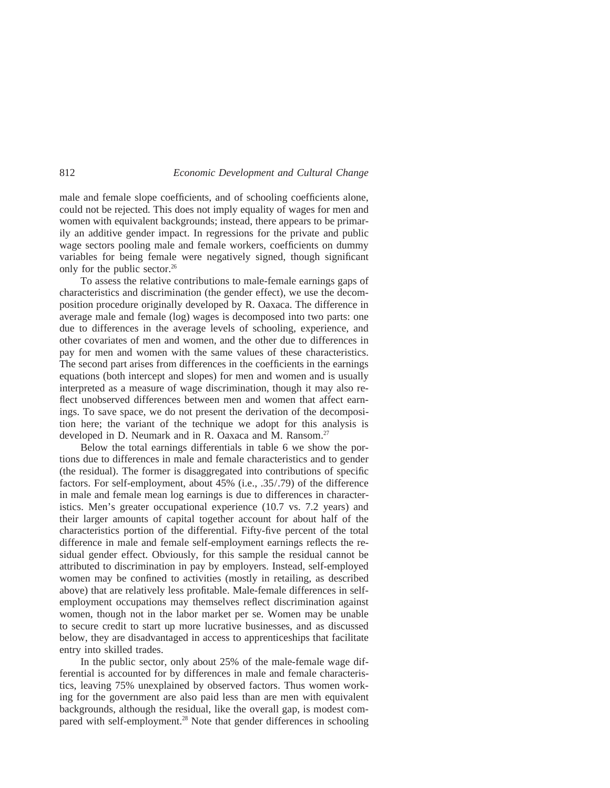male and female slope coefficients, and of schooling coefficients alone, could not be rejected. This does not imply equality of wages for men and women with equivalent backgrounds; instead, there appears to be primarily an additive gender impact. In regressions for the private and public wage sectors pooling male and female workers, coefficients on dummy variables for being female were negatively signed, though significant only for the public sector.<sup>26</sup>

To assess the relative contributions to male-female earnings gaps of characteristics and discrimination (the gender effect), we use the decomposition procedure originally developed by R. Oaxaca. The difference in average male and female (log) wages is decomposed into two parts: one due to differences in the average levels of schooling, experience, and other covariates of men and women, and the other due to differences in pay for men and women with the same values of these characteristics. The second part arises from differences in the coefficients in the earnings equations (both intercept and slopes) for men and women and is usually interpreted as a measure of wage discrimination, though it may also reflect unobserved differences between men and women that affect earnings. To save space, we do not present the derivation of the decomposition here; the variant of the technique we adopt for this analysis is developed in D. Neumark and in R. Oaxaca and M. Ransom.<sup>27</sup>

Below the total earnings differentials in table 6 we show the portions due to differences in male and female characteristics and to gender (the residual). The former is disaggregated into contributions of specific factors. For self-employment, about 45% (i.e., .35/.79) of the difference in male and female mean log earnings is due to differences in characteristics. Men's greater occupational experience (10.7 vs. 7.2 years) and their larger amounts of capital together account for about half of the characteristics portion of the differential. Fifty-five percent of the total difference in male and female self-employment earnings reflects the residual gender effect. Obviously, for this sample the residual cannot be attributed to discrimination in pay by employers. Instead, self-employed women may be confined to activities (mostly in retailing, as described above) that are relatively less profitable. Male-female differences in selfemployment occupations may themselves reflect discrimination against women, though not in the labor market per se. Women may be unable to secure credit to start up more lucrative businesses, and as discussed below, they are disadvantaged in access to apprenticeships that facilitate entry into skilled trades.

In the public sector, only about 25% of the male-female wage differential is accounted for by differences in male and female characteristics, leaving 75% unexplained by observed factors. Thus women working for the government are also paid less than are men with equivalent backgrounds, although the residual, like the overall gap, is modest compared with self-employment.28 Note that gender differences in schooling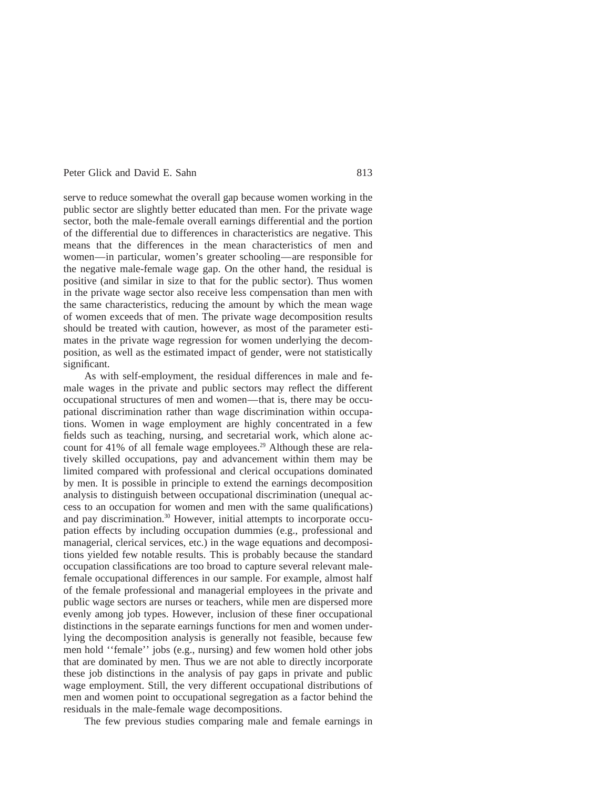serve to reduce somewhat the overall gap because women working in the public sector are slightly better educated than men. For the private wage sector, both the male-female overall earnings differential and the portion of the differential due to differences in characteristics are negative. This means that the differences in the mean characteristics of men and women—in particular, women's greater schooling—are responsible for the negative male-female wage gap. On the other hand, the residual is positive (and similar in size to that for the public sector). Thus women in the private wage sector also receive less compensation than men with the same characteristics, reducing the amount by which the mean wage of women exceeds that of men. The private wage decomposition results should be treated with caution, however, as most of the parameter estimates in the private wage regression for women underlying the decomposition, as well as the estimated impact of gender, were not statistically significant.

As with self-employment, the residual differences in male and female wages in the private and public sectors may reflect the different occupational structures of men and women—that is, there may be occupational discrimination rather than wage discrimination within occupations. Women in wage employment are highly concentrated in a few fields such as teaching, nursing, and secretarial work, which alone account for 41% of all female wage employees.<sup>29</sup> Although these are relatively skilled occupations, pay and advancement within them may be limited compared with professional and clerical occupations dominated by men. It is possible in principle to extend the earnings decomposition analysis to distinguish between occupational discrimination (unequal access to an occupation for women and men with the same qualifications) and pay discrimination.30 However, initial attempts to incorporate occupation effects by including occupation dummies (e.g., professional and managerial, clerical services, etc.) in the wage equations and decompositions yielded few notable results. This is probably because the standard occupation classifications are too broad to capture several relevant malefemale occupational differences in our sample. For example, almost half of the female professional and managerial employees in the private and public wage sectors are nurses or teachers, while men are dispersed more evenly among job types. However, inclusion of these finer occupational distinctions in the separate earnings functions for men and women underlying the decomposition analysis is generally not feasible, because few men hold ''female'' jobs (e.g., nursing) and few women hold other jobs that are dominated by men. Thus we are not able to directly incorporate these job distinctions in the analysis of pay gaps in private and public wage employment. Still, the very different occupational distributions of men and women point to occupational segregation as a factor behind the residuals in the male-female wage decompositions.

The few previous studies comparing male and female earnings in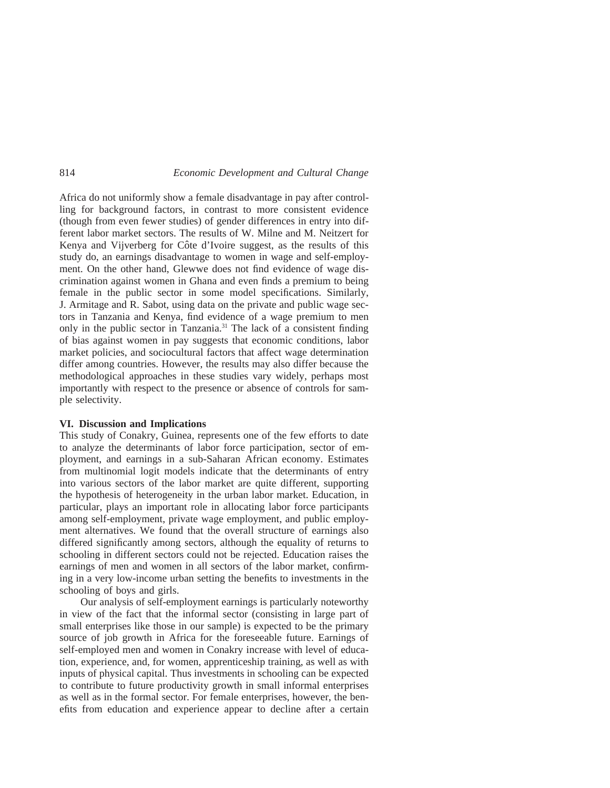Africa do not uniformly show a female disadvantage in pay after controlling for background factors, in contrast to more consistent evidence (though from even fewer studies) of gender differences in entry into different labor market sectors. The results of W. Milne and M. Neitzert for Kenya and Vijverberg for Côte d'Ivoire suggest, as the results of this study do, an earnings disadvantage to women in wage and self-employment. On the other hand, Glewwe does not find evidence of wage discrimination against women in Ghana and even finds a premium to being female in the public sector in some model specifications. Similarly, J. Armitage and R. Sabot, using data on the private and public wage sectors in Tanzania and Kenya, find evidence of a wage premium to men only in the public sector in Tanzania.<sup>31</sup> The lack of a consistent finding of bias against women in pay suggests that economic conditions, labor market policies, and sociocultural factors that affect wage determination differ among countries. However, the results may also differ because the methodological approaches in these studies vary widely, perhaps most importantly with respect to the presence or absence of controls for sample selectivity.

# **VI. Discussion and Implications**

This study of Conakry, Guinea, represents one of the few efforts to date to analyze the determinants of labor force participation, sector of employment, and earnings in a sub-Saharan African economy. Estimates from multinomial logit models indicate that the determinants of entry into various sectors of the labor market are quite different, supporting the hypothesis of heterogeneity in the urban labor market. Education, in particular, plays an important role in allocating labor force participants among self-employment, private wage employment, and public employment alternatives. We found that the overall structure of earnings also differed significantly among sectors, although the equality of returns to schooling in different sectors could not be rejected. Education raises the earnings of men and women in all sectors of the labor market, confirming in a very low-income urban setting the benefits to investments in the schooling of boys and girls.

Our analysis of self-employment earnings is particularly noteworthy in view of the fact that the informal sector (consisting in large part of small enterprises like those in our sample) is expected to be the primary source of job growth in Africa for the foreseeable future. Earnings of self-employed men and women in Conakry increase with level of education, experience, and, for women, apprenticeship training, as well as with inputs of physical capital. Thus investments in schooling can be expected to contribute to future productivity growth in small informal enterprises as well as in the formal sector. For female enterprises, however, the benefits from education and experience appear to decline after a certain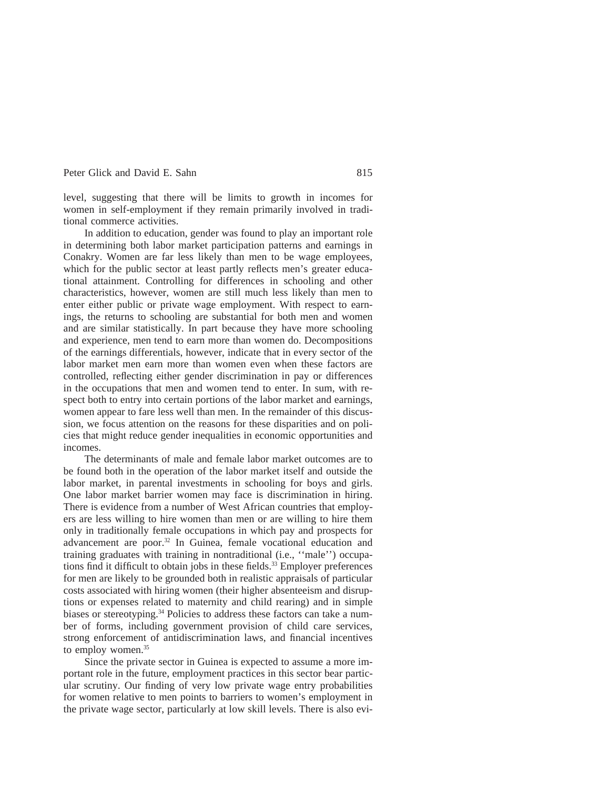level, suggesting that there will be limits to growth in incomes for women in self-employment if they remain primarily involved in traditional commerce activities.

In addition to education, gender was found to play an important role in determining both labor market participation patterns and earnings in Conakry. Women are far less likely than men to be wage employees, which for the public sector at least partly reflects men's greater educational attainment. Controlling for differences in schooling and other characteristics, however, women are still much less likely than men to enter either public or private wage employment. With respect to earnings, the returns to schooling are substantial for both men and women and are similar statistically. In part because they have more schooling and experience, men tend to earn more than women do. Decompositions of the earnings differentials, however, indicate that in every sector of the labor market men earn more than women even when these factors are controlled, reflecting either gender discrimination in pay or differences in the occupations that men and women tend to enter. In sum, with respect both to entry into certain portions of the labor market and earnings, women appear to fare less well than men. In the remainder of this discussion, we focus attention on the reasons for these disparities and on policies that might reduce gender inequalities in economic opportunities and incomes.

The determinants of male and female labor market outcomes are to be found both in the operation of the labor market itself and outside the labor market, in parental investments in schooling for boys and girls. One labor market barrier women may face is discrimination in hiring. There is evidence from a number of West African countries that employers are less willing to hire women than men or are willing to hire them only in traditionally female occupations in which pay and prospects for advancement are poor.32 In Guinea, female vocational education and training graduates with training in nontraditional (i.e., ''male'') occupations find it difficult to obtain jobs in these fields.<sup>33</sup> Employer preferences for men are likely to be grounded both in realistic appraisals of particular costs associated with hiring women (their higher absenteeism and disruptions or expenses related to maternity and child rearing) and in simple biases or stereotyping.<sup>34</sup> Policies to address these factors can take a number of forms, including government provision of child care services, strong enforcement of antidiscrimination laws, and financial incentives to employ women. $35$ 

Since the private sector in Guinea is expected to assume a more important role in the future, employment practices in this sector bear particular scrutiny. Our finding of very low private wage entry probabilities for women relative to men points to barriers to women's employment in the private wage sector, particularly at low skill levels. There is also evi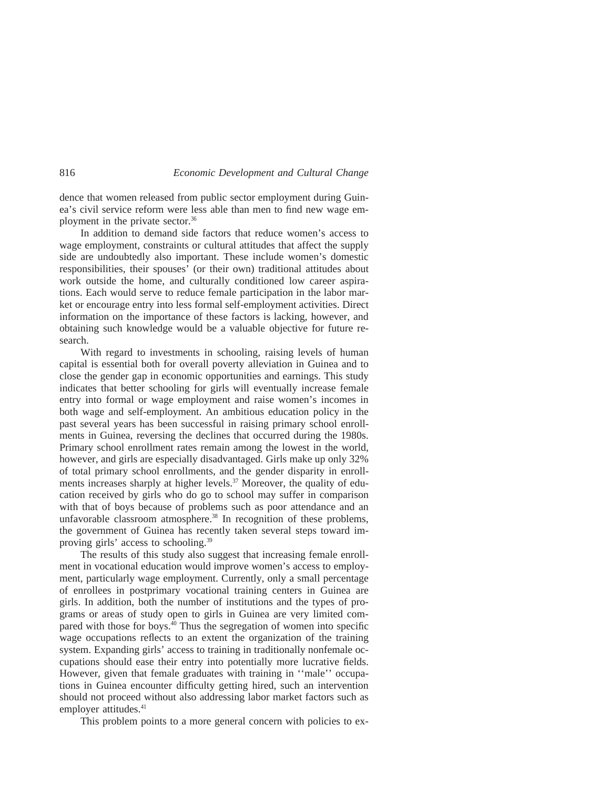dence that women released from public sector employment during Guinea's civil service reform were less able than men to find new wage employment in the private sector.36

In addition to demand side factors that reduce women's access to wage employment, constraints or cultural attitudes that affect the supply side are undoubtedly also important. These include women's domestic responsibilities, their spouses' (or their own) traditional attitudes about work outside the home, and culturally conditioned low career aspirations. Each would serve to reduce female participation in the labor market or encourage entry into less formal self-employment activities. Direct information on the importance of these factors is lacking, however, and obtaining such knowledge would be a valuable objective for future research.

With regard to investments in schooling, raising levels of human capital is essential both for overall poverty alleviation in Guinea and to close the gender gap in economic opportunities and earnings. This study indicates that better schooling for girls will eventually increase female entry into formal or wage employment and raise women's incomes in both wage and self-employment. An ambitious education policy in the past several years has been successful in raising primary school enrollments in Guinea, reversing the declines that occurred during the 1980s. Primary school enrollment rates remain among the lowest in the world, however, and girls are especially disadvantaged. Girls make up only 32% of total primary school enrollments, and the gender disparity in enrollments increases sharply at higher levels.<sup>37</sup> Moreover, the quality of education received by girls who do go to school may suffer in comparison with that of boys because of problems such as poor attendance and an unfavorable classroom atmosphere.<sup>38</sup> In recognition of these problems, the government of Guinea has recently taken several steps toward improving girls' access to schooling.<sup>39</sup>

The results of this study also suggest that increasing female enrollment in vocational education would improve women's access to employment, particularly wage employment. Currently, only a small percentage of enrollees in postprimary vocational training centers in Guinea are girls. In addition, both the number of institutions and the types of programs or areas of study open to girls in Guinea are very limited compared with those for boys. $40$  Thus the segregation of women into specific wage occupations reflects to an extent the organization of the training system. Expanding girls' access to training in traditionally nonfemale occupations should ease their entry into potentially more lucrative fields. However, given that female graduates with training in ''male'' occupations in Guinea encounter difficulty getting hired, such an intervention should not proceed without also addressing labor market factors such as employer attitudes.<sup>41</sup>

This problem points to a more general concern with policies to ex-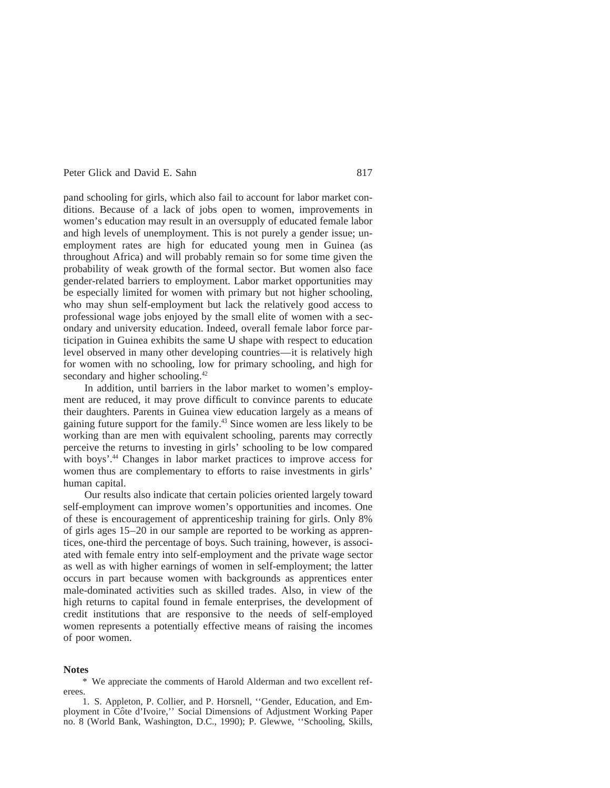pand schooling for girls, which also fail to account for labor market conditions. Because of a lack of jobs open to women, improvements in women's education may result in an oversupply of educated female labor and high levels of unemployment. This is not purely a gender issue; unemployment rates are high for educated young men in Guinea (as throughout Africa) and will probably remain so for some time given the probability of weak growth of the formal sector. But women also face gender-related barriers to employment. Labor market opportunities may be especially limited for women with primary but not higher schooling, who may shun self-employment but lack the relatively good access to professional wage jobs enjoyed by the small elite of women with a secondary and university education. Indeed, overall female labor force participation in Guinea exhibits the same U shape with respect to education level observed in many other developing countries—it is relatively high for women with no schooling, low for primary schooling, and high for secondary and higher schooling.<sup>42</sup>

In addition, until barriers in the labor market to women's employment are reduced, it may prove difficult to convince parents to educate their daughters. Parents in Guinea view education largely as a means of gaining future support for the family.43 Since women are less likely to be working than are men with equivalent schooling, parents may correctly perceive the returns to investing in girls' schooling to be low compared with boys'.<sup>44</sup> Changes in labor market practices to improve access for women thus are complementary to efforts to raise investments in girls' human capital.

Our results also indicate that certain policies oriented largely toward self-employment can improve women's opportunities and incomes. One of these is encouragement of apprenticeship training for girls. Only 8% of girls ages 15–20 in our sample are reported to be working as apprentices, one-third the percentage of boys. Such training, however, is associated with female entry into self-employment and the private wage sector as well as with higher earnings of women in self-employment; the latter occurs in part because women with backgrounds as apprentices enter male-dominated activities such as skilled trades. Also, in view of the high returns to capital found in female enterprises, the development of credit institutions that are responsive to the needs of self-employed women represents a potentially effective means of raising the incomes of poor women.

#### **Notes**

\* We appreciate the comments of Harold Alderman and two excellent referees.

1. S. Appleton, P. Collier, and P. Horsnell, ''Gender, Education, and Employment in Côte d'Ivoire," Social Dimensions of Adjustment Working Paper no. 8 (World Bank, Washington, D.C., 1990); P. Glewwe, ''Schooling, Skills,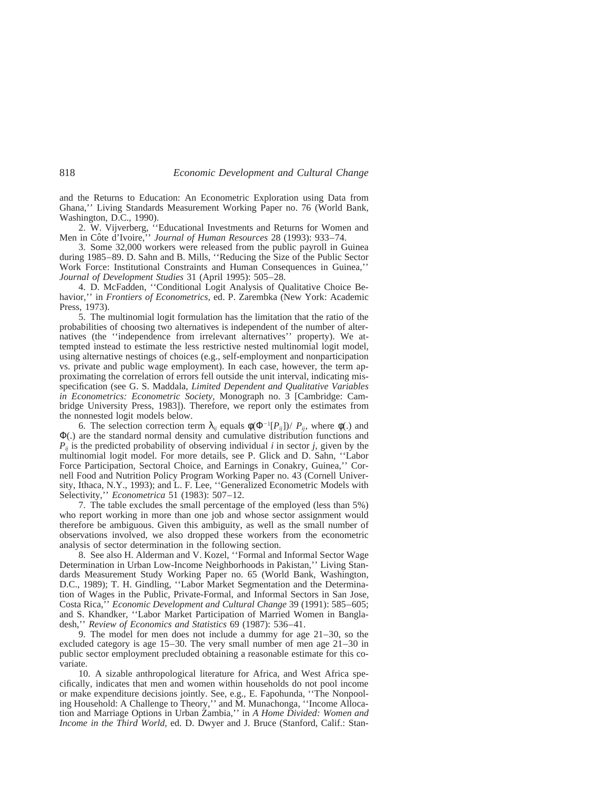and the Returns to Education: An Econometric Exploration using Data from Ghana,'' Living Standards Measurement Working Paper no. 76 (World Bank, Washington, D.C., 1990).

2. W. Vijverberg, ''Educational Investments and Returns for Women and Men in Côte d'Ivoire," *Journal of Human Resources* 28 (1993): 933-74.

3. Some 32,000 workers were released from the public payroll in Guinea during 1985–89. D. Sahn and B. Mills, ''Reducing the Size of the Public Sector Work Force: Institutional Constraints and Human Consequences in Guinea,'' *Journal of Development Studies* 31 (April 1995): 505–28.

4. D. McFadden, ''Conditional Logit Analysis of Qualitative Choice Behavior,'' in *Frontiers of Econometrics,* ed. P. Zarembka (New York: Academic Press, 1973).

5. The multinomial logit formulation has the limitation that the ratio of the probabilities of choosing two alternatives is independent of the number of alternatives (the ''independence from irrelevant alternatives'' property). We attempted instead to estimate the less restrictive nested multinomial logit model, using alternative nestings of choices (e.g., self-employment and nonparticipation vs. private and public wage employment). In each case, however, the term approximating the correlation of errors fell outside the unit interval, indicating misspecification (see G. S. Maddala, *Limited Dependent and Qualitative Variables in Econometrics: Econometric Society,* Monograph no. 3 [Cambridge: Cambridge University Press, 1983]). Therefore, we report only the estimates from the nonnested logit models below.

6. The selection correction term  $\lambda_{ij}$  equals  $\phi(\Phi^{-1}[P_{ij}])/P_{ij}$ , where  $\phi(.)$  and Φ(.) are the standard normal density and cumulative distribution functions and  $P_{ii}$  is the predicted probability of observing individual *i* in sector *j*, given by the multinomial logit model. For more details, see P. Glick and D. Sahn, ''Labor Force Participation, Sectoral Choice, and Earnings in Conakry, Guinea,'' Cornell Food and Nutrition Policy Program Working Paper no. 43 (Cornell University, Ithaca, N.Y., 1993); and L. F. Lee, ''Generalized Econometric Models with Selectivity,'' *Econometrica* 51 (1983): 507–12.

7. The table excludes the small percentage of the employed (less than 5%) who report working in more than one job and whose sector assignment would therefore be ambiguous. Given this ambiguity, as well as the small number of observations involved, we also dropped these workers from the econometric analysis of sector determination in the following section.

8. See also H. Alderman and V. Kozel, ''Formal and Informal Sector Wage Determination in Urban Low-Income Neighborhoods in Pakistan,'' Living Standards Measurement Study Working Paper no. 65 (World Bank, Washington, D.C., 1989); T. H. Gindling, ''Labor Market Segmentation and the Determination of Wages in the Public, Private-Formal, and Informal Sectors in San Jose, Costa Rica,'' *Economic Development and Cultural Change* 39 (1991): 585–605; and S. Khandker, ''Labor Market Participation of Married Women in Bangladesh,'' *Review of Economics and Statistics* 69 (1987): 536–41.

9. The model for men does not include a dummy for age 21–30, so the excluded category is age 15–30. The very small number of men age 21–30 in public sector employment precluded obtaining a reasonable estimate for this covariate.

10. A sizable anthropological literature for Africa, and West Africa specifically, indicates that men and women within households do not pool income or make expenditure decisions jointly. See, e.g., E. Fapohunda, ''The Nonpooling Household: A Challenge to Theory,'' and M. Munachonga, ''Income Allocation and Marriage Options in Urban Zambia,'' in *A Home Divided: Women and Income in the Third World,* ed. D. Dwyer and J. Bruce (Stanford, Calif.: Stan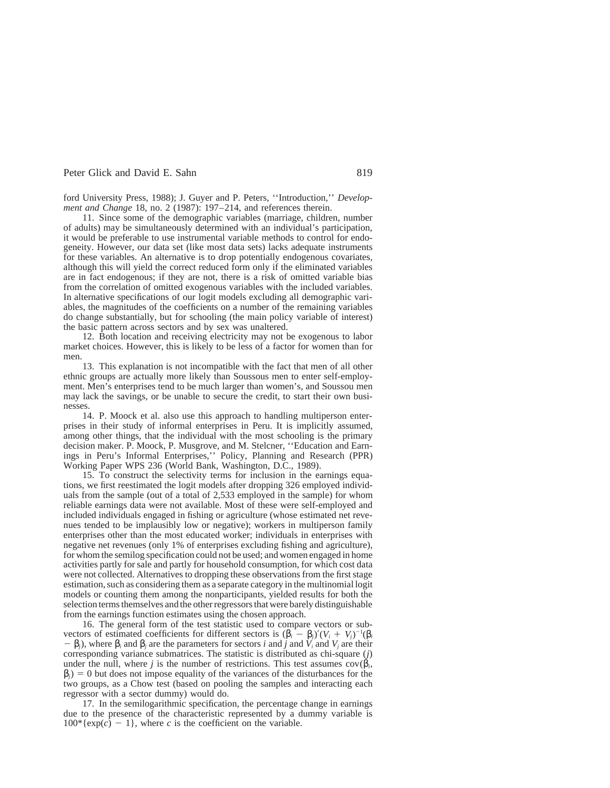ford University Press, 1988); J. Guyer and P. Peters, ''Introduction,'' *Development and Change* 18, no. 2 (1987): 197–214, and references therein.

11. Since some of the demographic variables (marriage, children, number of adults) may be simultaneously determined with an individual's participation, it would be preferable to use instrumental variable methods to control for endogeneity. However, our data set (like most data sets) lacks adequate instruments for these variables. An alternative is to drop potentially endogenous covariates, although this will yield the correct reduced form only if the eliminated variables are in fact endogenous; if they are not, there is a risk of omitted variable bias from the correlation of omitted exogenous variables with the included variables. In alternative specifications of our logit models excluding all demographic variables, the magnitudes of the coefficients on a number of the remaining variables do change substantially, but for schooling (the main policy variable of interest) the basic pattern across sectors and by sex was unaltered.

12. Both location and receiving electricity may not be exogenous to labor market choices. However, this is likely to be less of a factor for women than for men.

13. This explanation is not incompatible with the fact that men of all other ethnic groups are actually more likely than Soussous men to enter self-employment. Men's enterprises tend to be much larger than women's, and Soussou men may lack the savings, or be unable to secure the credit, to start their own businesses.

14. P. Moock et al. also use this approach to handling multiperson enterprises in their study of informal enterprises in Peru. It is implicitly assumed, among other things, that the individual with the most schooling is the primary decision maker. P. Moock, P. Musgrove, and M. Stelcner, ''Education and Earnings in Peru's Informal Enterprises,'' Policy, Planning and Research (PPR) Working Paper WPS 236 (World Bank, Washington, D.C., 1989).

15. To construct the selectivity terms for inclusion in the earnings equations, we first reestimated the logit models after dropping 326 employed individuals from the sample (out of a total of 2,533 employed in the sample) for whom reliable earnings data were not available. Most of these were self-employed and included individuals engaged in fishing or agriculture (whose estimated net revenues tended to be implausibly low or negative); workers in multiperson family enterprises other than the most educated worker; individuals in enterprises with negative net revenues (only 1% of enterprises excluding fishing and agriculture), for whom the semilog specification could not be used; and women engaged in home activities partly for sale and partly for household consumption, for which cost data were not collected. Alternatives to dropping these observations from the first stage estimation, such as considering them as a separate category in the multinomial logit models or counting them among the nonparticipants, yielded results for both the selection terms themselves and the other regressors that were barely distinguishable from the earnings function estimates using the chosen approach.

16. The general form of the test statistic used to compare vectors or subvectors of estimated coefficients for different sectors is  $(\beta_i - \beta_j)'(V_i + V_j)^{-1}(\beta_i)$  $-$  β<sub>*j*</sub>), where β<sub>*i*</sub> and β<sub>*j*</sub> are the parameters for sectors *i* and *j* and *V<sub>i</sub>* and *V<sub>i</sub>* are their corresponding variance submatrices. The statistic is distributed as chi-square (*j*) under the null, where *j* is the number of restrictions. This test assumes  $cov(\beta_i)$ ,  $\beta$ <sub>*j*</sub>) = 0 but does not impose equality of the variances of the disturbances for the two groups, as a Chow test (based on pooling the samples and interacting each regressor with a sector dummy) would do.

17. In the semilogarithmic specification, the percentage change in earnings due to the presence of the characteristic represented by a dummy variable is  $100*(\exp(c) - 1)$ , where *c* is the coefficient on the variable.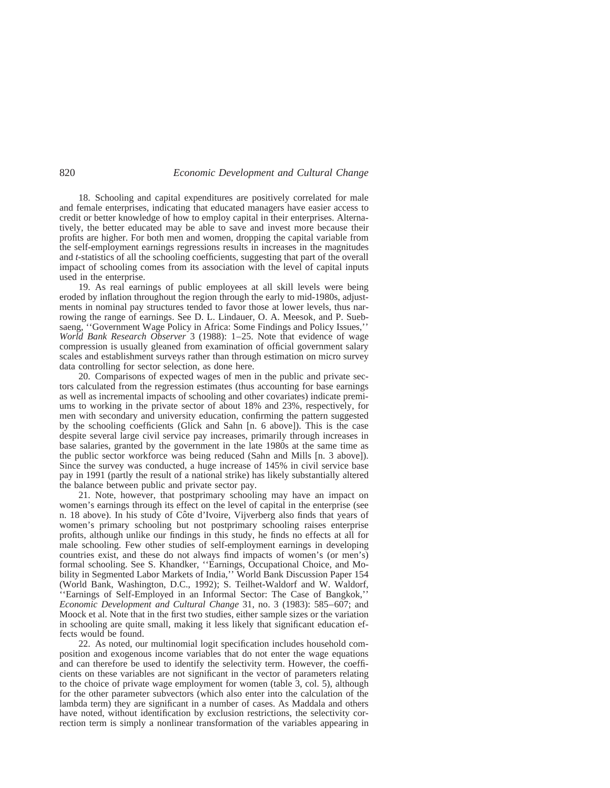18. Schooling and capital expenditures are positively correlated for male and female enterprises, indicating that educated managers have easier access to credit or better knowledge of how to employ capital in their enterprises. Alternatively, the better educated may be able to save and invest more because their profits are higher. For both men and women, dropping the capital variable from the self-employment earnings regressions results in increases in the magnitudes and *t*-statistics of all the schooling coefficients, suggesting that part of the overall impact of schooling comes from its association with the level of capital inputs used in the enterprise.

19. As real earnings of public employees at all skill levels were being eroded by inflation throughout the region through the early to mid-1980s, adjustments in nominal pay structures tended to favor those at lower levels, thus narrowing the range of earnings. See D. L. Lindauer, O. A. Meesok, and P. Suebsaeng, ''Government Wage Policy in Africa: Some Findings and Policy Issues,'' *World Bank Research Observer* 3 (1988): 1–25. Note that evidence of wage compression is usually gleaned from examination of official government salary scales and establishment surveys rather than through estimation on micro survey data controlling for sector selection, as done here.

20. Comparisons of expected wages of men in the public and private sectors calculated from the regression estimates (thus accounting for base earnings as well as incremental impacts of schooling and other covariates) indicate premiums to working in the private sector of about 18% and 23%, respectively, for men with secondary and university education, confirming the pattern suggested by the schooling coefficients (Glick and Sahn [n. 6 above]). This is the case despite several large civil service pay increases, primarily through increases in base salaries, granted by the government in the late 1980s at the same time as the public sector workforce was being reduced (Sahn and Mills [n. 3 above]). Since the survey was conducted, a huge increase of 145% in civil service base pay in 1991 (partly the result of a national strike) has likely substantially altered the balance between public and private sector pay.

21. Note, however, that postprimary schooling may have an impact on women's earnings through its effect on the level of capital in the enterprise (see n. 18 above). In his study of Côte d'Ivoire, Vijverberg also finds that years of women's primary schooling but not postprimary schooling raises enterprise profits, although unlike our findings in this study, he finds no effects at all for male schooling. Few other studies of self-employment earnings in developing countries exist, and these do not always find impacts of women's (or men's) formal schooling. See S. Khandker, ''Earnings, Occupational Choice, and Mobility in Segmented Labor Markets of India,'' World Bank Discussion Paper 154 (World Bank, Washington, D.C., 1992); S. Teilhet-Waldorf and W. Waldorf, ''Earnings of Self-Employed in an Informal Sector: The Case of Bangkok,'' *Economic Development and Cultural Change* 31, no. 3 (1983): 585–607; and Moock et al. Note that in the first two studies, either sample sizes or the variation in schooling are quite small, making it less likely that significant education effects would be found.

22. As noted, our multinomial logit specification includes household composition and exogenous income variables that do not enter the wage equations and can therefore be used to identify the selectivity term. However, the coefficients on these variables are not significant in the vector of parameters relating to the choice of private wage employment for women (table 3, col. 5), although for the other parameter subvectors (which also enter into the calculation of the lambda term) they are significant in a number of cases. As Maddala and others have noted, without identification by exclusion restrictions, the selectivity correction term is simply a nonlinear transformation of the variables appearing in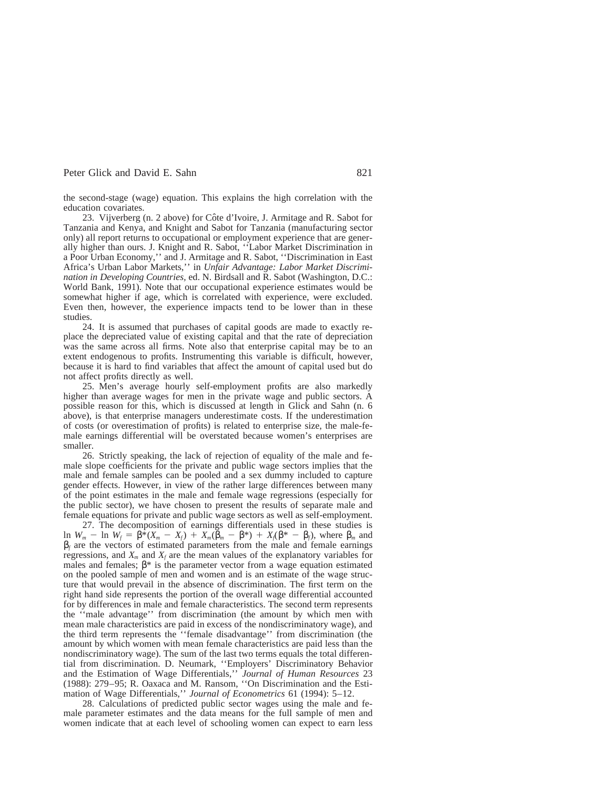the second-stage (wage) equation. This explains the high correlation with the education covariates.

23. Vijverberg (n. 2 above) for Côte d'Ivoire, J. Armitage and R. Sabot for Tanzania and Kenya, and Knight and Sabot for Tanzania (manufacturing sector only) all report returns to occupational or employment experience that are generally higher than ours. J. Knight and R. Sabot, ''Labor Market Discrimination in a Poor Urban Economy,'' and J. Armitage and R. Sabot, ''Discrimination in East Africa's Urban Labor Markets,'' in *Unfair Advantage: Labor Market Discrimination in Developing Countries,* ed. N. Birdsall and R. Sabot (Washington, D.C.: World Bank, 1991). Note that our occupational experience estimates would be somewhat higher if age, which is correlated with experience, were excluded. Even then, however, the experience impacts tend to be lower than in these studies.

24. It is assumed that purchases of capital goods are made to exactly replace the depreciated value of existing capital and that the rate of depreciation was the same across all firms. Note also that enterprise capital may be to an extent endogenous to profits. Instrumenting this variable is difficult, however, because it is hard to find variables that affect the amount of capital used but do not affect profits directly as well.

25. Men's average hourly self-employment profits are also markedly higher than average wages for men in the private wage and public sectors. A possible reason for this, which is discussed at length in Glick and Sahn (n. 6 above), is that enterprise managers underestimate costs. If the underestimation of costs (or overestimation of profits) is related to enterprise size, the male-female earnings differential will be overstated because women's enterprises are smaller.

26. Strictly speaking, the lack of rejection of equality of the male and female slope coefficients for the private and public wage sectors implies that the male and female samples can be pooled and a sex dummy included to capture gender effects. However, in view of the rather large differences between many of the point estimates in the male and female wage regressions (especially for the public sector), we have chosen to present the results of separate male and female equations for private and public wage sectors as well as self-employment.

27. The decomposition of earnings differentials used in these studies is ln *W<sub>m</sub>* - ln *W<sub>f</sub>* = β<sup> $\hat{\ast}$ </sup>(*X<sub>m</sub>* - *X<sub>f</sub>*) + *X<sub>m</sub>*(β<sub>*m*</sub> - β<sup> $*$ </sup>) + *X<sub>t</sub>*(β<sup> $*$ </sup> - β*<sub>f</sub>*), where β<sub>*m*</sub> and  $\beta_f$  are the vectors of estimated parameters from the male and female earnings regressions, and  $X_m$  and  $X_f$  are the mean values of the explanatory variables for males and females;  $\beta^*$  is the parameter vector from a wage equation estimated on the pooled sample of men and women and is an estimate of the wage structure that would prevail in the absence of discrimination. The first term on the right hand side represents the portion of the overall wage differential accounted for by differences in male and female characteristics. The second term represents the ''male advantage'' from discrimination (the amount by which men with mean male characteristics are paid in excess of the nondiscriminatory wage), and the third term represents the ''female disadvantage'' from discrimination (the amount by which women with mean female characteristics are paid less than the nondiscriminatory wage). The sum of the last two terms equals the total differential from discrimination. D. Neumark, ''Employers' Discriminatory Behavior and the Estimation of Wage Differentials,'' *Journal of Human Resources* 23 (1988): 279–95; R. Oaxaca and M. Ransom, ''On Discrimination and the Estimation of Wage Differentials,'' *Journal of Econometrics* 61 (1994): 5–12.

28. Calculations of predicted public sector wages using the male and female parameter estimates and the data means for the full sample of men and women indicate that at each level of schooling women can expect to earn less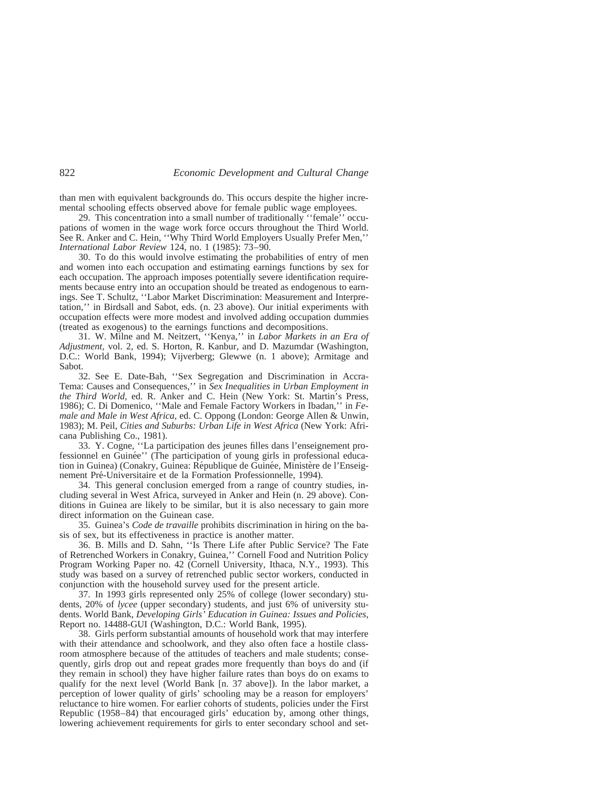than men with equivalent backgrounds do. This occurs despite the higher incremental schooling effects observed above for female public wage employees.

29. This concentration into a small number of traditionally ''female'' occupations of women in the wage work force occurs throughout the Third World. See R. Anker and C. Hein, ''Why Third World Employers Usually Prefer Men,'' *International Labor Review* 124, no. 1 (1985): 73–90.

30. To do this would involve estimating the probabilities of entry of men and women into each occupation and estimating earnings functions by sex for each occupation. The approach imposes potentially severe identification requirements because entry into an occupation should be treated as endogenous to earnings. See T. Schultz, ''Labor Market Discrimination: Measurement and Interpretation,'' in Birdsall and Sabot, eds. (n. 23 above). Our initial experiments with occupation effects were more modest and involved adding occupation dummies (treated as exogenous) to the earnings functions and decompositions.

31. W. Milne and M. Neitzert, ''Kenya,'' in *Labor Markets in an Era of Adjustment,* vol. 2, ed. S. Horton, R. Kanbur, and D. Mazumdar (Washington, D.C.: World Bank, 1994); Vijverberg; Glewwe (n. 1 above); Armitage and Sabot.

32. See E. Date-Bah, ''Sex Segregation and Discrimination in Accra-Tema: Causes and Consequences,'' in *Sex Inequalities in Urban Employment in the Third World,* ed. R. Anker and C. Hein (New York: St. Martin's Press, 1986); C. Di Domenico, ''Male and Female Factory Workers in Ibadan,'' in *Female and Male in West Africa,* ed. C. Oppong (London: George Allen & Unwin, 1983); M. Peil, *Cities and Suburbs: Urban Life in West Africa* (New York: Africana Publishing Co., 1981).

33. Y. Cogne, ''La participation des jeunes filles dans l'enseignement professionnel en Guinée'' (The participation of young girls in professional education in Guinea) (Conakry, Guinea: République de Guinée, Ministère de l'Enseignement Pré-Universitaire et de la Formation Professionnelle, 1994).

34. This general conclusion emerged from a range of country studies, including several in West Africa, surveyed in Anker and Hein (n. 29 above). Conditions in Guinea are likely to be similar, but it is also necessary to gain more direct information on the Guinean case.

35. Guinea's *Code de travaille* prohibits discrimination in hiring on the basis of sex, but its effectiveness in practice is another matter.

36. B. Mills and D. Sahn, ''Is There Life after Public Service? The Fate of Retrenched Workers in Conakry, Guinea,'' Cornell Food and Nutrition Policy Program Working Paper no. 42 (Cornell University, Ithaca, N.Y., 1993). This study was based on a survey of retrenched public sector workers, conducted in conjunction with the household survey used for the present article.

37. In 1993 girls represented only 25% of college (lower secondary) students, 20% of *lycee* (upper secondary) students, and just 6% of university students. World Bank, *Developing Girls' Education in Guinea: Issues and Policies,* Report no. 14488-GUI (Washington, D.C.: World Bank, 1995).

38. Girls perform substantial amounts of household work that may interfere with their attendance and schoolwork, and they also often face a hostile classroom atmosphere because of the attitudes of teachers and male students; consequently, girls drop out and repeat grades more frequently than boys do and (if they remain in school) they have higher failure rates than boys do on exams to qualify for the next level (World Bank [n. 37 above]). In the labor market, a perception of lower quality of girls' schooling may be a reason for employers' reluctance to hire women. For earlier cohorts of students, policies under the First Republic (1958–84) that encouraged girls' education by, among other things, lowering achievement requirements for girls to enter secondary school and set